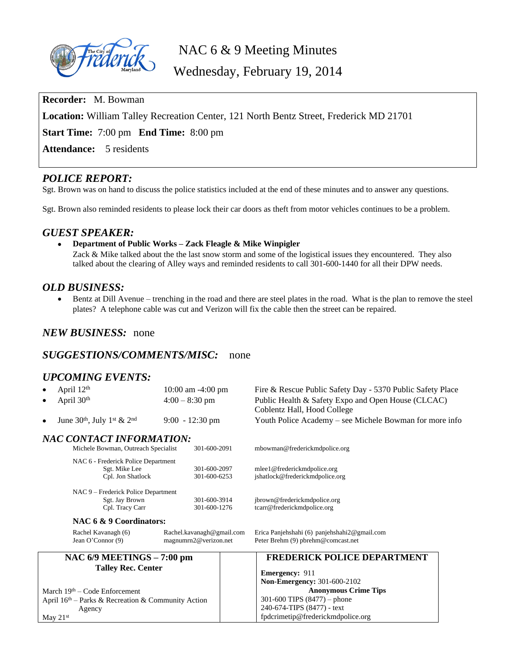

NAC 6 & 9 Meeting Minutes

Wednesday, February 19, 2014

**Recorder:** M. Bowman

**Location:** William Talley Recreation Center, 121 North Bentz Street, Frederick MD 21701

**Start Time:** 7:00 pm **End Time:** 8:00 pm

**Attendance:** 5 residents

# *POLICE REPORT:*

Sgt. Brown was on hand to discuss the police statistics included at the end of these minutes and to answer any questions.

Sgt. Brown also reminded residents to please lock their car doors as theft from motor vehicles continues to be a problem.

### *GUEST SPEAKER:*

**Department of Public Works – Zack Fleagle & Mike Winpigler**

Zack & Mike talked about the the last snow storm and some of the logistical issues they encountered. They also talked about the clearing of Alley ways and reminded residents to call 301-600-1440 for all their DPW needs.

# *OLD BUSINESS:*

 Bentz at Dill Avenue – trenching in the road and there are steel plates in the road. What is the plan to remove the steel plates? A telephone cable was cut and Verizon will fix the cable then the street can be repaired.

# *NEW BUSINESS:* none

### *SUGGESTIONS/COMMENTS/MISC:* none

## *UPCOMING EVENTS:*

| April 12 <sup>th</sup><br>April 30 <sup>th</sup>     | 10:00 am -4:00 pm<br>$4:00 - 8:30$ pm              | Fire & Rescue Public Safety Day - 5370 Public Safety Place<br>Public Health & Safety Expo and Open House (CLCAC)<br>Coblentz Hall, Hood College |  |  |  |  |  |  |  |  |
|------------------------------------------------------|----------------------------------------------------|-------------------------------------------------------------------------------------------------------------------------------------------------|--|--|--|--|--|--|--|--|
| June $30th$ , July 1 <sup>st</sup> & 2 <sup>nd</sup> | $9:00 - 12:30$ pm                                  | Youth Police Academy - see Michele Bowman for more info                                                                                         |  |  |  |  |  |  |  |  |
| NAC CONTACT INFORMATION:                             |                                                    |                                                                                                                                                 |  |  |  |  |  |  |  |  |
| Michele Bowman, Outreach Specialist                  | 301-600-2091                                       | mbowman@frederickmdpolice.org                                                                                                                   |  |  |  |  |  |  |  |  |
| NAC 6 - Frederick Police Department                  |                                                    |                                                                                                                                                 |  |  |  |  |  |  |  |  |
| Sgt. Mike Lee                                        | 301-600-2097                                       | mlee1@frederickmdpolice.org                                                                                                                     |  |  |  |  |  |  |  |  |
| Cpl. Jon Shatlock                                    | 301-600-6253                                       | jshatlock@frederickmdpolice.org                                                                                                                 |  |  |  |  |  |  |  |  |
| NAC 9 - Frederick Police Department                  |                                                    |                                                                                                                                                 |  |  |  |  |  |  |  |  |
| Sgt. Jay Brown                                       | 301-600-3914                                       | jbrown@frederickmdpolice.org                                                                                                                    |  |  |  |  |  |  |  |  |
| Cpl. Tracy Carr                                      | 301-600-1276                                       | tcarr@frederickmdpolice.org                                                                                                                     |  |  |  |  |  |  |  |  |
| NAC 6 & 9 Coordinators:                              |                                                    |                                                                                                                                                 |  |  |  |  |  |  |  |  |
| Rachel Kavanagh (6)<br>Jean O'Connor (9)             | Rachel.kavanagh@gmail.com<br>magnumrn2@verizon.net | Erica Panjehshahi (6) panjehshahi2@gmail.com<br>Peter Brehm (9) pbrehm@comcast.net                                                              |  |  |  |  |  |  |  |  |
| NAC $6/9$ MEETINGS $-7:00$ pm                        |                                                    | <b>FREDERICK POLICE DEPARTMENT</b>                                                                                                              |  |  |  |  |  |  |  |  |
| <b>Talley Rec. Center</b>                            |                                                    |                                                                                                                                                 |  |  |  |  |  |  |  |  |
|                                                      |                                                    | <b>Emergency: 911</b>                                                                                                                           |  |  |  |  |  |  |  |  |
|                                                      |                                                    | <b>Non-Emergency: 301-600-2102</b>                                                                                                              |  |  |  |  |  |  |  |  |
| March $19th$ – Code Enforcement                      |                                                    | <b>Anonymous Crime Tips</b>                                                                                                                     |  |  |  |  |  |  |  |  |
| April 16th - Parks & Recreation & Community Action   |                                                    | 301-600 TIPS $(8477)$ – phone                                                                                                                   |  |  |  |  |  |  |  |  |
| Agency                                               |                                                    | 240-674-TIPS (8477) - text                                                                                                                      |  |  |  |  |  |  |  |  |
| May $21st$                                           |                                                    | fpdcrimetip@frederickmdpolice.org                                                                                                               |  |  |  |  |  |  |  |  |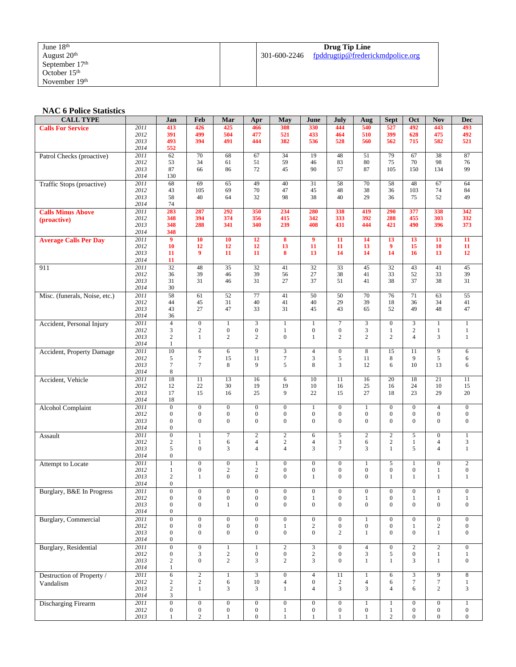| June 18th                 |              | Drug Tip Line                    |
|---------------------------|--------------|----------------------------------|
| August $20th$             | 301-600-2246 | fpddrugtip@frederickmdpolice.org |
| September $17th$          |              |                                  |
| October $15th$            |              |                                  |
| November 19 <sup>th</sup> |              |                                  |

#### **NAC 6 Police Statistics**

| <b>CALL TYPE</b>              |              | Jan                                  | Feb                                | Mar                              | Apr                                  | May                                | June                               | July                               | Aug                     | <b>Sept</b>                  | Oct                            | <b>Nov</b>                   | Dec                              |
|-------------------------------|--------------|--------------------------------------|------------------------------------|----------------------------------|--------------------------------------|------------------------------------|------------------------------------|------------------------------------|-------------------------|------------------------------|--------------------------------|------------------------------|----------------------------------|
| <b>Calls For Service</b>      | 2011         | 413                                  | 426                                | 425                              | 466                                  | 308                                | 330                                | 444                                | 540                     | 527                          | 492                            | 443                          | 493                              |
|                               | 2012         | 391                                  | 499                                | 504                              | 477                                  | 521                                | 433                                | 464                                | 510                     | 399                          | 628                            | 475                          | 492                              |
|                               | 2013<br>2014 | 493<br>552                           | 394                                | 491                              | 444                                  | 382                                | 536                                | 528                                | 560                     | 562                          | 715                            | 582                          | 521                              |
| Patrol Checks (proactive)     | 2011         | 62                                   | 70                                 | 68                               | 67                                   | 34                                 | 19                                 | 48                                 | 51                      | 79                           | 67                             | 38                           | 87                               |
|                               | 2012         | 53                                   | 34                                 | 61                               | 51                                   | 59                                 | 46                                 | 83                                 | 80                      | 75                           | 70                             | 98                           | 76                               |
|                               | 2013         | 87                                   | 66                                 | 86                               | 72                                   | 45                                 | 90                                 | 57                                 | 87                      | 105                          | 150                            | 134                          | 99                               |
|                               | 2014         | 130                                  |                                    |                                  |                                      |                                    |                                    |                                    |                         |                              |                                |                              |                                  |
| Traffic Stops (proactive)     | 2011<br>2012 | 68<br>43                             | 69<br>105                          | 65<br>69                         | 49<br>70                             | 40<br>47                           | 31<br>45                           | 58<br>48                           | 70<br>38                | 58<br>36                     | 48<br>103                      | 67<br>74                     | 64<br>84                         |
|                               | 2013         | 58                                   | 40                                 | 64                               | 32                                   | 98                                 | 38                                 | 40                                 | 29                      | 36                           | 75                             | 52                           | 49                               |
|                               | 2014         | 74                                   |                                    |                                  |                                      |                                    |                                    |                                    |                         |                              |                                |                              |                                  |
| <b>Calls Minus Above</b>      | 2011         | 283                                  | 287                                | 292                              | 350                                  | 234                                | 280                                | 338                                | 419                     | 290                          | 377                            | 338                          | 342                              |
| (proactive)                   | 2012<br>2013 | 348<br>348                           | 394<br>288                         | 374<br>341                       | 356<br>340                           | 415<br>239                         | 342<br>408                         | 333<br>431                         | 392<br>444              | 288<br>421                   | 455<br>490                     | 303<br>396                   | 332<br>373                       |
|                               | 2014         | 348                                  |                                    |                                  |                                      |                                    |                                    |                                    |                         |                              |                                |                              |                                  |
| <b>Average Calls Per Day</b>  | 2011         | $\overline{9}$                       | 10                                 | 10                               | 12                                   | 8                                  | $\overline{9}$                     | 11                                 | 14                      | 13                           | 13                             | 11                           | 11                               |
|                               | 2012         | 10                                   | 12                                 | 12                               | 12                                   | 13                                 | 11                                 | 11                                 | 13                      | 9                            | 15                             | 10                           | 11                               |
|                               | 2013         | 11                                   | 9                                  | 11                               | 11                                   | 8                                  | 13                                 | 14                                 | 14                      | 14                           | 16                             | 13                           | 12                               |
| 911                           | 2014<br>2011 | 11<br>32                             | 48                                 | 35                               | 32                                   | 41                                 | 32                                 | 33                                 | 45                      | 32                           | 43                             | 41                           | 45                               |
|                               | 2012         | 36                                   | 39                                 | 46                               | 39                                   | 56                                 | 27                                 | 38                                 | 41                      | 33                           | 52                             | 33                           | 39                               |
|                               | 2013         | 31                                   | 31                                 | 46                               | 31                                   | 27                                 | 37                                 | 51                                 | 41                      | 38                           | 37                             | 38                           | 31                               |
|                               | 2014         | 30                                   |                                    |                                  |                                      |                                    |                                    |                                    |                         |                              |                                |                              |                                  |
| Misc. (funerals, Noise, etc.) | 2011         | $\overline{58}$                      | 61                                 | 52                               | 77                                   | 41                                 | 50                                 | 50                                 | 70                      | 76                           | 71                             | 63                           | 55                               |
|                               | 2012<br>2013 | 44<br>43                             | 45<br>27                           | 31<br>47                         | 40<br>33                             | 41<br>31                           | 40<br>45                           | 29<br>43                           | 39<br>65                | 18<br>52                     | 36<br>49                       | 34<br>48                     | 41<br>47                         |
|                               | 2014         | 36                                   |                                    |                                  |                                      |                                    |                                    |                                    |                         |                              |                                |                              |                                  |
| Accident, Personal Injury     | 2011         | $\overline{4}$                       | $\boldsymbol{0}$                   | $\mathbf{1}$                     | 3                                    | $\mathbf{1}$                       | $\mathbf{1}$                       | 7                                  | $\mathfrak{Z}$          | $\boldsymbol{0}$             | $\mathfrak{Z}$                 | $\mathbf{1}$                 | $\mathbf{1}$                     |
|                               | 2012         | 3                                    | $\mathbf{2}$                       | $\boldsymbol{0}$                 | $\boldsymbol{0}$                     | 1                                  | $\boldsymbol{0}$                   | $\boldsymbol{0}$                   | 3                       | $\mathbf{1}$                 | $\overline{c}$                 | 1                            | $\mathbf{1}$                     |
|                               | 2013<br>2014 | $\sqrt{2}$<br>$\mathbf{1}$           | $\mathbf{1}$                       | $\overline{c}$                   | $\overline{c}$                       | $\boldsymbol{0}$                   | $\mathbf{1}$                       | $\overline{c}$                     | $\mathbf{2}$            | $\overline{2}$               | $\overline{4}$                 | 3                            | 1                                |
|                               | 2011         | 10                                   | 6                                  | 6                                | 9                                    | 3                                  | $\overline{4}$                     | $\boldsymbol{0}$                   | 8                       | 15                           | 11                             | $\overline{9}$               | 6                                |
| Accident, Property Damage     | 2012         | 5                                    | $\tau$                             | 15                               | 11                                   | $\boldsymbol{7}$                   | 3                                  | 5                                  | 11                      | 8                            | 9                              | 5                            | 6                                |
|                               | 2013         | 7                                    | $\overline{7}$                     | 8                                | 9                                    | 5                                  | 8                                  | 3                                  | 12                      | 6                            | 10                             | 13                           | 6                                |
|                               | 2014         | 8                                    |                                    |                                  |                                      |                                    |                                    |                                    |                         |                              |                                |                              |                                  |
| Accident, Vehicle             | 2011<br>2012 | 18<br>12                             | 11<br>22                           | 13<br>30                         | 16<br>19                             | 6<br>19                            | 10<br>10                           | 11<br>16                           | 16<br>25                | 20<br>16                     | 18<br>24                       | 21<br>10                     | 11<br>15                         |
|                               | 2013         | 17                                   | 15                                 | 16                               | 25                                   | 9                                  | 22                                 | 15                                 | 27                      | 18                           | 23                             | 29                           | 20                               |
|                               | 2014         | 18                                   |                                    |                                  |                                      |                                    |                                    |                                    |                         |                              |                                |                              |                                  |
| <b>Alcohol Complaint</b>      | 2011         | $\mathbf{0}$                         | $\mathbf{0}$                       | $\mathbf{0}$                     | $\boldsymbol{0}$                     | $\boldsymbol{0}$                   | $\mathbf{1}$                       | $\boldsymbol{0}$                   | $\mathbf{1}$            | $\boldsymbol{0}$             | $\mathbf{0}$                   | $\overline{4}$               | $\mathbf{0}$                     |
|                               | 2012         | $\boldsymbol{0}$                     | $\boldsymbol{0}$                   | $\boldsymbol{0}$                 | $\boldsymbol{0}$                     | $\boldsymbol{0}$                   | $\boldsymbol{0}$                   | $\boldsymbol{0}$                   | $\boldsymbol{0}$        | $\boldsymbol{0}$             | $\mathbf{0}$                   | $\boldsymbol{0}$             | $\boldsymbol{0}$                 |
|                               | 2013<br>2014 | $\boldsymbol{0}$<br>$\boldsymbol{0}$ | $\boldsymbol{0}$                   | $\boldsymbol{0}$                 | $\mathbf{0}$                         | $\boldsymbol{0}$                   | $\boldsymbol{0}$                   | $\overline{0}$                     | $\mathbf{0}$            | $\mathbf{0}$                 | $\overline{0}$                 | $\mathbf{0}$                 | $\boldsymbol{0}$                 |
| Assault                       | 2011         | $\overline{0}$                       | $\mathbf{1}$                       | $\overline{7}$                   | $\overline{c}$                       | $\overline{c}$                     | 6                                  | 5                                  | $\sqrt{2}$              | $\overline{c}$               | $\sqrt{5}$                     | $\boldsymbol{0}$             | $\overline{1}$                   |
|                               | 2012         | $\boldsymbol{2}$                     | 1                                  | 6                                | $\overline{4}$                       | $\overline{c}$                     | $\overline{4}$                     | 3                                  | 6                       | $\overline{c}$               | 1                              | $\overline{4}$               | 3                                |
|                               | 2013         | 5                                    | $\boldsymbol{0}$                   | 3                                | $\overline{4}$                       | $\overline{4}$                     | 3                                  | $\overline{7}$                     | 3                       | $\mathbf{1}$                 | 5                              | $\overline{4}$               | $\mathbf{1}$                     |
|                               | 2014<br>2011 | 0<br>$\mathbf{1}$                    | $\overline{0}$                     | $\boldsymbol{0}$                 | $\mathbf{1}$                         | $\boldsymbol{0}$                   | $\boldsymbol{0}$                   | $\boldsymbol{0}$                   | $\mathbf{1}$            | 5                            | $\mathbf{1}$                   | $\boldsymbol{0}$             | $\overline{2}$                   |
| Attempt to Locate             | 2012         | 1                                    | $\boldsymbol{0}$                   | 2                                | $\overline{\mathbf{c}}$              | $\boldsymbol{0}$                   | $\boldsymbol{0}$                   | 0                                  | $\boldsymbol{0}$        | $\boldsymbol{0}$             | $\mathbf{0}$                   | $\mathbf{1}$                 | $\boldsymbol{0}$                 |
|                               | 2013         | $\mathbf{2}$                         | $\mathbf{1}$                       | $\boldsymbol{0}$                 | $\overline{0}$                       | $\boldsymbol{0}$                   | $\mathbf{1}$                       | $\overline{0}$                     | $\boldsymbol{0}$        | $\mathbf{1}$                 | 1                              | $\mathbf{1}$                 | $\mathbf{1}$                     |
|                               | 2014         | $\mathbf{0}$                         |                                    |                                  |                                      |                                    |                                    |                                    |                         |                              |                                |                              |                                  |
| Burglary, B&E In Progress     | 2011         | $\boldsymbol{0}$                     | $\boldsymbol{0}$                   | $\boldsymbol{0}$                 | $\boldsymbol{0}$                     | $\boldsymbol{0}$                   | $\boldsymbol{0}$                   | 0                                  | $\boldsymbol{0}$        | $\boldsymbol{0}$             | $\mathbf{0}$                   | $\boldsymbol{0}$             | $\boldsymbol{0}$                 |
|                               | 2012<br>2013 | $\boldsymbol{0}$<br>$\boldsymbol{0}$ | $\boldsymbol{0}$<br>$\overline{0}$ | $\boldsymbol{0}$<br>$\mathbf{1}$ | $\boldsymbol{0}$<br>$\boldsymbol{0}$ | $\boldsymbol{0}$<br>$\overline{0}$ | $\mathbf{1}$<br>$\boldsymbol{0}$   | $\boldsymbol{0}$<br>$\overline{0}$ | $1\,$<br>$\overline{0}$ | $\boldsymbol{0}$<br>$\Omega$ | $\mathbf{1}$<br>$\overline{0}$ | $\mathbf{1}$<br>$\mathbf{0}$ | $\mathbf{1}$<br>$\boldsymbol{0}$ |
|                               | 2014         | $\mathbf{0}$                         |                                    |                                  |                                      |                                    |                                    |                                    |                         |                              |                                |                              |                                  |
| <b>Burglary</b> , Commercial  | 2011         | $\overline{0}$                       | $\overline{0}$                     | $\boldsymbol{0}$                 | $\overline{0}$                       | $\overline{0}$                     | $\bf{0}$                           | $\overline{0}$                     | $\mathbf{1}$            | $\mathbf{0}$                 | $\mathbf{0}$                   | $\overline{0}$               | $\overline{0}$                   |
|                               | 2012         | $\boldsymbol{0}$                     | $\boldsymbol{0}$                   | $\boldsymbol{0}$                 | $\boldsymbol{0}$                     | $\mathbf{1}$                       | $\sqrt{2}$                         | $\boldsymbol{0}$                   | $\boldsymbol{0}$        | $\overline{0}$               | $\mathbf{1}$                   | $\sqrt{2}$                   | $\mathbf{0}$                     |
|                               | 2013<br>2014 | $\boldsymbol{0}$<br>$\boldsymbol{0}$ | $\boldsymbol{0}$                   | $\overline{0}$                   | $\boldsymbol{0}$                     | $\boldsymbol{0}$                   | $\overline{0}$                     | $\overline{c}$                     | $\mathbf{1}$            | $\overline{0}$               | $\overline{0}$                 | $\mathbf{1}$                 | $\boldsymbol{0}$                 |
| <b>Burglary</b> , Residential | 2011         | $\boldsymbol{0}$                     | $\boldsymbol{0}$                   | $\mathbf{1}$                     | $\mathbf{1}$                         | $\overline{2}$                     | $\ensuremath{\mathfrak{Z}}$        | $\overline{0}$                     | $\overline{4}$          | $\mathbf{0}$                 | $\overline{c}$                 | $\overline{2}$               | $\mathbf{0}$                     |
|                               | 2012         | $\boldsymbol{0}$                     | 3                                  | $\overline{c}$                   | $\boldsymbol{0}$                     | $\boldsymbol{0}$                   | $\sqrt{2}$                         | $\boldsymbol{0}$                   | 3                       | 5                            | $\boldsymbol{0}$               | $\mathbf{1}$                 | $\mathbf{1}$                     |
|                               | 2013         | $\sqrt{2}$                           | $\overline{0}$                     | $\overline{c}$                   | 3                                    | $\overline{c}$                     | 3                                  | $\boldsymbol{0}$                   | $\mathbf{1}$            | 1                            | 3                              | $\mathbf{1}$                 | $\boldsymbol{0}$                 |
|                               | 2014         | $\mathbf{1}$                         |                                    |                                  |                                      |                                    |                                    |                                    |                         |                              |                                |                              |                                  |
| Destruction of Property /     | 2011         | $\overline{6}$                       | $\overline{2}$                     | $\mathbf{1}$                     | $\overline{3}$                       | $\boldsymbol{0}$                   | $\overline{4}$                     | 11                                 | $\mathbf{1}$            | 6                            | 3                              | 9                            | $\,8\,$                          |
| Vandalism                     | 2012<br>2013 | $\sqrt{2}$<br>$\sqrt{2}$             | $\overline{c}$<br>$\mathbf{1}$     | 6<br>3                           | $10\,$<br>3                          | $\overline{4}$<br>$\mathbf{1}$     | $\boldsymbol{0}$<br>$\overline{4}$ | $\overline{c}$<br>3                | $\overline{4}$<br>3     | 6<br>$\overline{4}$          | $\tau$<br>6                    | $\boldsymbol{7}$<br>2        | $\mathbf{1}$<br>3                |
|                               | 2014         | 3                                    |                                    |                                  |                                      |                                    |                                    |                                    |                         |                              |                                |                              |                                  |
| <b>Discharging Firearm</b>    | 2011         | $\overline{0}$                       | $\overline{0}$                     | $\boldsymbol{0}$                 | $\boldsymbol{0}$                     | $\overline{0}$                     | $\overline{0}$                     | $\boldsymbol{0}$                   | $1\,$                   | $\mathbf{1}$                 | $\boldsymbol{0}$               | $\boldsymbol{0}$             | $\mathbf{1}$                     |
|                               | 2012         | $\boldsymbol{0}$                     | $\boldsymbol{0}$                   | $\boldsymbol{0}$                 | $\boldsymbol{0}$                     | $\mathbf{1}$                       | $\boldsymbol{0}$                   | $\boldsymbol{0}$                   | $\boldsymbol{0}$        | $\mathbf{1}$                 | $\boldsymbol{0}$               | $\boldsymbol{0}$             | $\boldsymbol{0}$                 |
|                               | 2013         | $\mathbf{1}$                         | $\overline{c}$                     | $\mathbf{1}$                     | $\boldsymbol{0}$                     | $\mathbf{1}$                       | $\,1$                              | $\mathbf{1}$                       | $1\,$                   | $\overline{c}$               | $\mathbf{0}$                   | $\boldsymbol{0}$             | $\boldsymbol{0}$                 |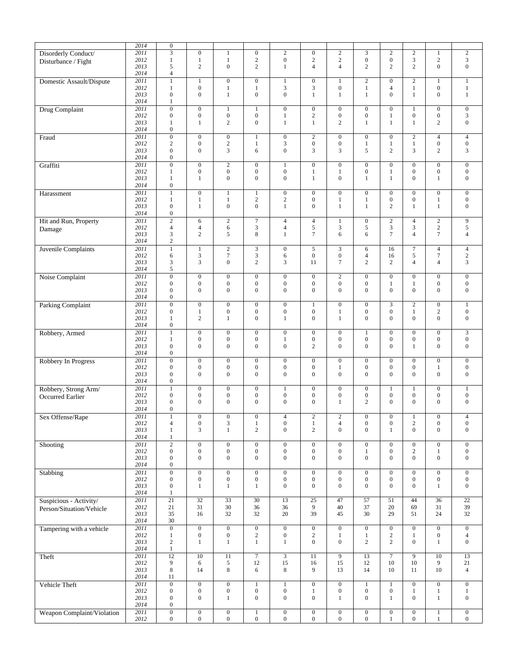|                            | 2014 | $\boldsymbol{0}$ |                  |                             |                  |                         |                  |                  |                  |                  |                  |                  |                  |
|----------------------------|------|------------------|------------------|-----------------------------|------------------|-------------------------|------------------|------------------|------------------|------------------|------------------|------------------|------------------|
| Disorderly Conduct/        | 2011 | $\overline{3}$   | $\mathbf{0}$     | $\mathbf{1}$                | $\boldsymbol{0}$ | $\sqrt{2}$              | $\mathbf{0}$     | $\sqrt{2}$       | 3                | $\overline{c}$   | $\boldsymbol{2}$ | $\mathbf{1}$     | $\overline{c}$   |
| Disturbance / Fight        | 2012 | $\mathbf{1}$     | $\mathbf{1}$     | $\mathbf{1}$                | $\sqrt{2}$       | $\boldsymbol{0}$        | $\sqrt{2}$       | $\sqrt{2}$       | $\boldsymbol{0}$ | $\boldsymbol{0}$ | 3                | $\overline{c}$   | 3                |
|                            | 2013 | 5                | $\overline{2}$   | $\boldsymbol{0}$            | $\overline{c}$   | 1                       | $\overline{4}$   | $\overline{4}$   | $\mathfrak{2}$   | $\overline{c}$   | $\overline{c}$   | $\overline{0}$   | $\mathbf{0}$     |
|                            | 2014 | $\overline{4}$   |                  |                             |                  |                         |                  |                  |                  |                  |                  |                  |                  |
|                            |      |                  |                  |                             |                  |                         |                  |                  |                  |                  |                  |                  |                  |
| Domestic Assault/Dispute   | 2011 | $\mathbf{1}$     | $\mathbf{1}$     | $\mathbf{0}$                | $\boldsymbol{0}$ | $\mathbf{1}$            | $\boldsymbol{0}$ | $\mathbf{1}$     | $\boldsymbol{2}$ | $\mathbf{0}$     | $\overline{2}$   | $\mathbf{1}$     | $\mathbf{1}$     |
|                            | 2012 | 1                | $\boldsymbol{0}$ | $\mathbf{1}$                | $\mathbf{1}$     | 3                       | 3                | $\boldsymbol{0}$ | $\mathbf{1}$     | $\overline{4}$   | $\mathbf{1}$     | $\mathbf{0}$     | $\mathbf{1}$     |
|                            | 2013 | $\overline{0}$   | $\boldsymbol{0}$ | $\mathbf{1}$                | $\boldsymbol{0}$ | $\boldsymbol{0}$        | $\mathbf{1}$     | $\mathbf{1}$     | $\mathbf{1}$     | $\boldsymbol{0}$ | $\mathbf{1}$     | $\mathbf{0}$     | $\mathbf{1}$     |
|                            | 2014 | $\mathbf{1}$     |                  |                             |                  |                         |                  |                  |                  |                  |                  |                  |                  |
|                            |      |                  |                  |                             |                  |                         |                  |                  |                  |                  |                  |                  |                  |
| <b>Drug Complaint</b>      | 2011 | $\overline{0}$   | $\boldsymbol{0}$ | $\mathbf{1}$                | $\mathbf{1}$     | $\overline{0}$          | $\mathbf{0}$     | $\boldsymbol{0}$ | $\boldsymbol{0}$ | $\mathbf{0}$     | $\mathbf{1}$     | $\mathbf{0}$     | $\boldsymbol{0}$ |
|                            | 2012 | $\mathbf{0}$     | $\boldsymbol{0}$ | $\boldsymbol{0}$            | $\boldsymbol{0}$ | $\mathbf{1}$            | $\sqrt{2}$       | $\boldsymbol{0}$ | $\boldsymbol{0}$ | $\mathbf{1}$     | $\boldsymbol{0}$ | $\overline{0}$   | 3                |
|                            | 2013 | 1                | 1                | $\sqrt{2}$                  | $\boldsymbol{0}$ | $\mathbf{1}$            | $\mathbf{1}$     | 2                | $\mathbf{1}$     | $\mathbf{1}$     | 1                | 2                | $\mathbf{0}$     |
|                            | 2014 | $\overline{0}$   |                  |                             |                  |                         |                  |                  |                  |                  |                  |                  |                  |
|                            |      |                  |                  |                             |                  |                         |                  |                  |                  |                  |                  |                  |                  |
| Fraud                      | 2011 | $\overline{0}$   | $\overline{0}$   | $\overline{0}$              | $\mathbf{1}$     | $\boldsymbol{0}$        | $\overline{2}$   | $\boldsymbol{0}$ | $\boldsymbol{0}$ | $\boldsymbol{0}$ | $\overline{2}$   | $\overline{4}$   | $\overline{4}$   |
|                            | 2012 | $\boldsymbol{2}$ | $\boldsymbol{0}$ | $\overline{c}$              | $\mathbf{1}$     | 3                       | $\boldsymbol{0}$ | $\boldsymbol{0}$ | $\mathbf{1}$     | $\mathbf{1}$     | $\mathbf{1}$     | $\overline{0}$   | $\boldsymbol{0}$ |
|                            | 2013 | $\mathbf{0}$     | $\mathbf{0}$     | 3                           | 6                | $\overline{0}$          | 3                | 3                | 5                | $\overline{2}$   | 3                | $\overline{c}$   | 3                |
|                            | 2014 | $\overline{0}$   |                  |                             |                  |                         |                  |                  |                  |                  |                  |                  |                  |
|                            |      |                  |                  |                             |                  |                         |                  |                  |                  |                  |                  |                  |                  |
| Graffiti                   | 2011 | $\overline{0}$   | $\boldsymbol{0}$ | $\sqrt{2}$                  | $\boldsymbol{0}$ | $\mathbf{1}$            | $\boldsymbol{0}$ | $\boldsymbol{0}$ | $\boldsymbol{0}$ | $\boldsymbol{0}$ | $\boldsymbol{0}$ | $\boldsymbol{0}$ | $\boldsymbol{0}$ |
|                            | 2012 | 1                | $\boldsymbol{0}$ | $\boldsymbol{0}$            | $\boldsymbol{0}$ | $\boldsymbol{0}$        | $\mathbf{1}$     | 1                | $\boldsymbol{0}$ | $\mathbf{1}$     | $\boldsymbol{0}$ | $\boldsymbol{0}$ | $\boldsymbol{0}$ |
|                            | 2013 | $\mathbf{1}$     | $\mathbf{1}$     | $\mathbf{0}$                | $\overline{0}$   | $\overline{0}$          | $\mathbf{1}$     | $\mathbf{0}$     | $\mathbf{1}$     | $\mathbf{1}$     | $\overline{0}$   | $\mathbf{1}$     | $\mathbf{0}$     |
|                            |      |                  |                  |                             |                  |                         |                  |                  |                  |                  |                  |                  |                  |
|                            | 2014 | $\mathbf{0}$     |                  |                             |                  |                         |                  |                  |                  |                  |                  |                  |                  |
| Harassment                 | 2011 | $\mathbf{1}$     | $\overline{0}$   | $\mathbf{1}$                | 1                | $\boldsymbol{0}$        | $\mathbf{0}$     | $\boldsymbol{0}$ | $\boldsymbol{0}$ | $\mathbf{0}$     | $\mathbf{0}$     | $\mathbf{0}$     | $\overline{0}$   |
|                            | 2012 | $\mathbf{1}$     | $\mathbf{1}$     | $\mathbf{1}$                | $\sqrt{2}$       | $\overline{\mathbf{c}}$ | $\boldsymbol{0}$ | $\mathbf{1}$     | $\mathbf{1}$     | $\boldsymbol{0}$ | $\boldsymbol{0}$ | $\mathbf{1}$     | $\boldsymbol{0}$ |
|                            | 2013 | $\mathbf{0}$     | 1                | $\boldsymbol{0}$            | $\overline{0}$   | $\mathbf{1}$            | $\boldsymbol{0}$ | $\mathbf{1}$     | $\mathbf{1}$     | $\overline{c}$   | $\mathbf{1}$     | $\mathbf{1}$     | $\mathbf{0}$     |
|                            |      |                  |                  |                             |                  |                         |                  |                  |                  |                  |                  |                  |                  |
|                            | 2014 | $\mathbf{0}$     |                  |                             |                  |                         |                  |                  |                  |                  |                  |                  |                  |
| Hit and Run, Property      | 2011 | $\overline{c}$   | 6                | $\overline{c}$              | $\overline{7}$   | $\overline{4}$          | $\overline{4}$   | $\mathbf{1}$     | $\boldsymbol{0}$ | $\sqrt{2}$       | $\overline{4}$   | $\overline{c}$   | 9                |
|                            | 2012 | $\overline{4}$   | $\overline{4}$   | 6                           | 3                | $\overline{4}$          | 5                | $\mathfrak{Z}$   | 5                | 3                | 3                | $\overline{c}$   | 5                |
| Damage                     | 2013 | 3                | $\overline{c}$   |                             | 8                | 1                       | $\overline{7}$   | 6                | 6                | $\overline{7}$   | $\overline{4}$   | $\tau$           |                  |
|                            |      |                  |                  | 5                           |                  |                         |                  |                  |                  |                  |                  |                  | $\overline{4}$   |
|                            | 2014 | 2                |                  |                             |                  |                         |                  |                  |                  |                  |                  |                  |                  |
| Juvenile Complaints        | 2011 | $\mathbf{1}$     | $\mathbf{1}$     | $\overline{c}$              | 3                | $\boldsymbol{0}$        | 5                | $\mathfrak{Z}$   | 6                | 16               | 7                | $\overline{4}$   | $\overline{4}$   |
|                            | 2012 | 6                | $\mathfrak{Z}$   | $\tau$                      | 3                | 6                       | $\mathbf{0}$     | $\boldsymbol{0}$ | $\overline{4}$   | 16               | 5                | $\tau$           | $\overline{c}$   |
|                            |      |                  |                  |                             |                  |                         |                  |                  |                  |                  |                  |                  |                  |
|                            | 2013 | 3                | 3                | $\mathbf{0}$                | $\mathbf{2}$     | 3                       | 11               | $\overline{7}$   | $\overline{c}$   | 2                | $\overline{4}$   | $\overline{4}$   | 3                |
|                            | 2014 | 5                |                  |                             |                  |                         |                  |                  |                  |                  |                  |                  |                  |
| Noise Complaint            | 2011 | $\overline{0}$   | $\boldsymbol{0}$ | $\mathbf{0}$                | $\boldsymbol{0}$ | $\boldsymbol{0}$        | $\boldsymbol{0}$ | $\mathbf{2}$     | $\boldsymbol{0}$ | $\mathbf{0}$     | $\mathbf{0}$     | $\mathbf{0}$     | $\mathbf{0}$     |
|                            | 2012 | $\boldsymbol{0}$ | $\boldsymbol{0}$ | $\boldsymbol{0}$            | $\boldsymbol{0}$ | $\boldsymbol{0}$        | $\boldsymbol{0}$ | $\boldsymbol{0}$ | $\boldsymbol{0}$ | $\mathbf{1}$     | 1                | $\overline{0}$   | $\boldsymbol{0}$ |
|                            |      |                  |                  |                             |                  |                         |                  |                  |                  |                  |                  |                  |                  |
|                            | 2013 | $\mathbf{0}$     | $\mathbf{0}$     | $\mathbf{0}$                | $\overline{0}$   | $\mathbf{0}$            | $\boldsymbol{0}$ | $\mathbf{0}$     | $\overline{0}$   | $\overline{0}$   | $\overline{0}$   | $\overline{0}$   | $\mathbf{0}$     |
|                            | 2014 | $\mathbf{0}$     |                  |                             |                  |                         |                  |                  |                  |                  |                  |                  |                  |
| Parking Complaint          | 2011 | $\overline{0}$   | $\boldsymbol{0}$ | $\boldsymbol{0}$            | $\boldsymbol{0}$ | $\boldsymbol{0}$        | $\mathbf{1}$     | $\boldsymbol{0}$ | $\boldsymbol{0}$ | 3                | $\sqrt{2}$       | $\boldsymbol{0}$ | $\mathbf{1}$     |
|                            |      |                  |                  |                             |                  |                         |                  |                  |                  |                  |                  |                  |                  |
|                            | 2012 | $\boldsymbol{0}$ | 1                | $\boldsymbol{0}$            | $\boldsymbol{0}$ | $\boldsymbol{0}$        | $\boldsymbol{0}$ | $\mathbf{1}$     | $\boldsymbol{0}$ | $\boldsymbol{0}$ | $\mathbf{1}$     | $\overline{c}$   | $\boldsymbol{0}$ |
|                            | 2013 | 1                | $\overline{c}$   | $\mathbf{1}$                | $\overline{0}$   | 1                       | $\mathbf{0}$     | $\mathbf{1}$     | $\overline{0}$   | $\Omega$         | $\Omega$         | $\Omega$         | $\mathbf{0}$     |
|                            | 2014 | $\overline{0}$   |                  |                             |                  |                         |                  |                  |                  |                  |                  |                  |                  |
| Robbery, Armed             | 2011 | $\mathbf{1}$     | $\boldsymbol{0}$ | $\mathbf{0}$                | $\overline{0}$   | $\boldsymbol{0}$        | $\boldsymbol{0}$ | $\boldsymbol{0}$ | $\mathbf{1}$     | $\mathbf{0}$     | $\mathbf{0}$     | $\mathbf{0}$     | $\overline{3}$   |
|                            |      |                  |                  |                             |                  |                         |                  |                  |                  |                  |                  |                  |                  |
|                            | 2012 | 1                | $\boldsymbol{0}$ | $\boldsymbol{0}$            | $\boldsymbol{0}$ | 1                       | $\boldsymbol{0}$ | $\boldsymbol{0}$ | $\boldsymbol{0}$ | $\boldsymbol{0}$ | $\boldsymbol{0}$ | $\overline{0}$   | $\boldsymbol{0}$ |
|                            | 2013 | $\overline{0}$   | $\boldsymbol{0}$ | $\mathbf{0}$                | $\overline{0}$   | $\boldsymbol{0}$        | $\overline{c}$   | $\mathbf{0}$     | $\overline{0}$   | $\overline{0}$   | $\mathbf{1}$     | $\overline{0}$   | $\mathbf{0}$     |
|                            | 2014 | $\mathbf{0}$     |                  |                             |                  |                         |                  |                  |                  |                  |                  |                  |                  |
|                            | 2011 | $\overline{0}$   | $\boldsymbol{0}$ | $\boldsymbol{0}$            | $\boldsymbol{0}$ | $\overline{0}$          | $\boldsymbol{0}$ | $\boldsymbol{0}$ | $\boldsymbol{0}$ | $\mathbf{0}$     | $\mathbf{0}$     | $\boldsymbol{0}$ | $\overline{0}$   |
| Robbery In Progress        |      |                  |                  |                             |                  |                         |                  |                  |                  |                  |                  |                  |                  |
|                            | 2012 | $\boldsymbol{0}$ | $\mathbf{0}$     | $\boldsymbol{0}$            | $\boldsymbol{0}$ | $\boldsymbol{0}$        | $\boldsymbol{0}$ | 1                | $\boldsymbol{0}$ | $\mathbf{0}$     | $\boldsymbol{0}$ | $\mathbf{1}$     | $\boldsymbol{0}$ |
|                            | 2013 | $\mathbf{0}$     | $\mathbf{0}$     | $\boldsymbol{0}$            | $\boldsymbol{0}$ | $\boldsymbol{0}$        | $\boldsymbol{0}$ | $\mathbf{0}$     | $\overline{0}$   | $\overline{0}$   | $\mathbf{0}$     | $\overline{0}$   | $\boldsymbol{0}$ |
|                            | 2014 | $\boldsymbol{0}$ |                  |                             |                  |                         |                  |                  |                  |                  |                  |                  |                  |
|                            |      |                  |                  |                             |                  |                         |                  |                  |                  |                  |                  |                  |                  |
| Robbery, Strong Arm/       | 2011 | $\mathbf{1}$     | $\overline{0}$   | $\overline{0}$              | $\overline{0}$   | $\mathbf{1}$            | $\overline{0}$   | $\overline{0}$   | $\overline{0}$   | $\mathbf{1}$     | $\mathbf{1}$     | $\overline{0}$   | $\mathbf{1}$     |
| <b>Occurred Earlier</b>    | 2012 | $\boldsymbol{0}$ | $\boldsymbol{0}$ | $\boldsymbol{0}$            | $\boldsymbol{0}$ | $\boldsymbol{0}$        | $\boldsymbol{0}$ | $\boldsymbol{0}$ | $\boldsymbol{0}$ | $\mathbf{0}$     | $\boldsymbol{0}$ | $\mathbf{0}$     | $\boldsymbol{0}$ |
|                            | 2013 | $\overline{0}$   | $\boldsymbol{0}$ | $\boldsymbol{0}$            | $\mathbf{0}$     | $\boldsymbol{0}$        | $\boldsymbol{0}$ | $\mathbf{1}$     | $\overline{c}$   | $\overline{0}$   | $\overline{0}$   | $\overline{0}$   | $\boldsymbol{0}$ |
|                            | 2014 | $\mathbf{0}$     |                  |                             |                  |                         |                  |                  |                  |                  |                  |                  |                  |
|                            |      |                  |                  |                             |                  |                         |                  |                  |                  |                  |                  |                  |                  |
| Sex Offense/Rape           | 2011 |                  | $\mathbf{0}$     | $\boldsymbol{0}$            | $\boldsymbol{0}$ | 4                       | $\overline{c}$   | $\mathbf{2}$     | $\boldsymbol{0}$ | $\boldsymbol{0}$ |                  | $\overline{0}$   | $\overline{4}$   |
|                            | 2012 | $\overline{4}$   | $\boldsymbol{0}$ | $\ensuremath{\mathfrak{Z}}$ | $\mathbf{1}$     | $\boldsymbol{0}$        | $\mathbf{1}$     | $\overline{4}$   | $\boldsymbol{0}$ | $\boldsymbol{0}$ | $\sqrt{2}$       | $\boldsymbol{0}$ | $\boldsymbol{0}$ |
|                            | 2013 | $\mathbf{1}$     | 3                | $\mathbf{1}$                | $\overline{c}$   | $\boldsymbol{0}$        | $\mathbf{2}$     | $\boldsymbol{0}$ | $\overline{0}$   | $\mathbf{1}$     | $\overline{0}$   | $\overline{0}$   | $\boldsymbol{0}$ |
|                            | 2014 | 1                |                  |                             |                  |                         |                  |                  |                  |                  |                  |                  |                  |
|                            |      |                  |                  |                             |                  |                         |                  |                  |                  |                  |                  |                  |                  |
| Shooting                   | 2011 | $\overline{2}$   | $\overline{0}$   | $\overline{0}$              | $\overline{0}$   | $\overline{0}$          | $\overline{0}$   | $\overline{0}$   | $\overline{0}$   | $\overline{0}$   | $\overline{0}$   | $\overline{0}$   | $\mathbf{0}$     |
|                            | 2012 | $\boldsymbol{0}$ | $\boldsymbol{0}$ | $\boldsymbol{0}$            | $\boldsymbol{0}$ | $\boldsymbol{0}$        | $\boldsymbol{0}$ | $\boldsymbol{0}$ | $\mathbf{1}$     | $\boldsymbol{0}$ | $\overline{c}$   | $\mathbf{1}$     | $\boldsymbol{0}$ |
|                            | 2013 | $\overline{0}$   | $\boldsymbol{0}$ | $\boldsymbol{0}$            | $\boldsymbol{0}$ | $\boldsymbol{0}$        | $\boldsymbol{0}$ | $\boldsymbol{0}$ | $\boldsymbol{0}$ | $\mathbf{0}$     | $\overline{0}$   | $\overline{0}$   | $\boldsymbol{0}$ |
|                            | 2014 | $\boldsymbol{0}$ |                  |                             |                  |                         |                  |                  |                  |                  |                  |                  |                  |
|                            |      |                  |                  |                             |                  |                         |                  |                  |                  |                  |                  |                  |                  |
| Stabbing                   | 2011 | $\overline{0}$   | $\boldsymbol{0}$ | $\boldsymbol{0}$            | $\boldsymbol{0}$ | $\boldsymbol{0}$        | $\mathbf{0}$     | $\boldsymbol{0}$ | $\boldsymbol{0}$ | $\boldsymbol{0}$ | $\overline{0}$   | $\mathbf{0}$     | $\boldsymbol{0}$ |
|                            | 2012 | $\boldsymbol{0}$ | $\boldsymbol{0}$ | $\boldsymbol{0}$            | $\boldsymbol{0}$ | $\boldsymbol{0}$        | $\boldsymbol{0}$ | $\boldsymbol{0}$ | $\boldsymbol{0}$ | $\boldsymbol{0}$ | $\boldsymbol{0}$ | $\boldsymbol{0}$ | $\boldsymbol{0}$ |
|                            | 2013 | $\boldsymbol{0}$ | 1                | 1                           | 1                | $\boldsymbol{0}$        | $\boldsymbol{0}$ | $\boldsymbol{0}$ | $\overline{0}$   | $\overline{0}$   | $\overline{0}$   | 1                | $\mathbf{0}$     |
|                            | 2014 | $\mathbf{1}$     |                  |                             |                  |                         |                  |                  |                  |                  |                  |                  |                  |
|                            |      |                  |                  |                             |                  |                         |                  |                  |                  |                  |                  |                  |                  |
| Suspicious - Activity/     | 2011 | 21               | $\overline{32}$  | $\overline{33}$             | 30               | 13                      | $\overline{25}$  | 47               | $\overline{57}$  | 51               | 44               | 36               | $\overline{22}$  |
| Person/Situation/Vehicle   | 2012 | 21               | 31               | $30\,$                      | 36               | 36                      | 9                | 40               | 37               | 20               | 69               | 31               | 39               |
|                            | 2013 | 35               | 16               | 32                          | 32               | 20                      | 39               | 45               | 30               | 29               | 51               | 24               | 32               |
|                            | 2014 | 30               |                  |                             |                  |                         |                  |                  |                  |                  |                  |                  |                  |
|                            |      |                  |                  |                             |                  |                         |                  |                  |                  |                  |                  |                  |                  |
| Tampering with a vehicle   | 2011 | $\boldsymbol{0}$ | $\boldsymbol{0}$ | $\boldsymbol{0}$            | $\boldsymbol{0}$ | $\boldsymbol{0}$        | $\boldsymbol{0}$ | $\boldsymbol{0}$ | $\boldsymbol{0}$ | $\boldsymbol{0}$ | $\boldsymbol{0}$ | $\boldsymbol{0}$ | $\boldsymbol{0}$ |
|                            | 2012 | $\mathbf{1}$     | $\boldsymbol{0}$ | $\boldsymbol{0}$            | $\overline{c}$   | $\boldsymbol{0}$        | $\sqrt{2}$       | 1                | $\mathbf{1}$     | $\sqrt{2}$       | $\mathbf{1}$     | $\boldsymbol{0}$ | $\overline{4}$   |
|                            | 2013 | $\overline{c}$   | $\mathbf{1}$     | $\mathbf{1}$                | $\mathbf{1}$     | $\mathbf{1}$            | $\boldsymbol{0}$ | $\mathbf{0}$     | $\overline{c}$   | 2                | $\mathbf{0}$     | $\mathbf{1}$     | $\mathbf{0}$     |
|                            | 2014 | $\mathbf{1}$     |                  |                             |                  |                         |                  |                  |                  |                  |                  |                  |                  |
|                            |      |                  |                  |                             |                  |                         |                  |                  |                  |                  |                  |                  |                  |
| Theft                      | 2011 | $\overline{12}$  | $\overline{10}$  | 11                          | $\tau$           | $\overline{3}$          | $\overline{11}$  | $\overline{9}$   | $\overline{13}$  | $\overline{7}$   | $\overline{9}$   | $\overline{10}$  | $\overline{13}$  |
|                            | 2012 | 9                | 6                | 5                           | 12               | 15                      | 16               | 15               | 12               | 10               | 10               | 9                | $21\,$           |
|                            | 2013 | 8                | 14               | 8                           | 6                | 8                       | 9                | 13               | 14               | 10               | 11               | 10               | $\overline{4}$   |
|                            |      |                  |                  |                             |                  |                         |                  |                  |                  |                  |                  |                  |                  |
|                            | 2014 | 11               |                  |                             |                  |                         |                  |                  |                  |                  |                  |                  |                  |
| Vehicle Theft              | 2011 | $\boldsymbol{0}$ | $\boldsymbol{0}$ | $\boldsymbol{0}$            | $\mathbf{1}$     | $\mathbf{1}$            | $\boldsymbol{0}$ | $\boldsymbol{0}$ | $\mathbf{1}$     | $\mathbf{1}$     | $\overline{0}$   | $\boldsymbol{0}$ | $\boldsymbol{0}$ |
|                            | 2012 | $\boldsymbol{0}$ | $\boldsymbol{0}$ | $\boldsymbol{0}$            | $\boldsymbol{0}$ | $\boldsymbol{0}$        | $\mathbf{1}$     | $\boldsymbol{0}$ | $\boldsymbol{0}$ | $\boldsymbol{0}$ | $\mathbf{1}$     | $\mathbf{1}$     | $\mathbf{1}$     |
|                            | 2013 | $\mathbf{0}$     | $\boldsymbol{0}$ | $\mathbf{1}$                | $\boldsymbol{0}$ | $\boldsymbol{0}$        | $\boldsymbol{0}$ | $\mathbf{1}$     | $\boldsymbol{0}$ | $\mathbf{1}$     | $\mathbf{0}$     | $\mathbf{1}$     | $\boldsymbol{0}$ |
|                            |      |                  |                  |                             |                  |                         |                  |                  |                  |                  |                  |                  |                  |
|                            | 2014 | $\boldsymbol{0}$ |                  |                             |                  |                         |                  |                  |                  |                  |                  |                  |                  |
| Weapon Complaint/Violation | 2011 | $\boldsymbol{0}$ | $\boldsymbol{0}$ | $\boldsymbol{0}$            | $\mathbf{1}$     | $\boldsymbol{0}$        | $\boldsymbol{0}$ | $\boldsymbol{0}$ | $\boldsymbol{0}$ | $\boldsymbol{0}$ | $\boldsymbol{0}$ | $\mathbf{1}$     | $\boldsymbol{0}$ |
|                            | 2012 | $\boldsymbol{0}$ | $\boldsymbol{0}$ | $\boldsymbol{0}$            | $\boldsymbol{0}$ | $\boldsymbol{0}$        | $\boldsymbol{0}$ | $\boldsymbol{0}$ | $\boldsymbol{0}$ | $\mathbf{1}$     | $\boldsymbol{0}$ | $\mathbf{1}$     | $\boldsymbol{0}$ |
|                            |      |                  |                  |                             |                  |                         |                  |                  |                  |                  |                  |                  |                  |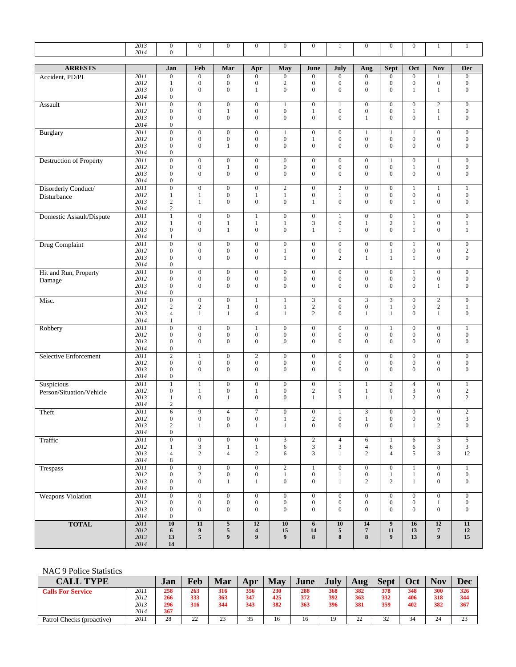|                          | 2013<br>2014              | $\overline{0}$<br>$\boldsymbol{0}$   | $\overline{0}$                       | $\overline{0}$                       | $\overline{0}$                       | $\overline{0}$                       | $\overline{0}$                       | $\mathbf{1}$                         | $\overline{0}$                       | $\boldsymbol{0}$                     | $\boldsymbol{0}$                     | $\mathbf{1}$                         | $\mathbf{1}$                         |
|--------------------------|---------------------------|--------------------------------------|--------------------------------------|--------------------------------------|--------------------------------------|--------------------------------------|--------------------------------------|--------------------------------------|--------------------------------------|--------------------------------------|--------------------------------------|--------------------------------------|--------------------------------------|
| <b>ARRESTS</b>           |                           | Jan                                  | Feb                                  | Mar                                  | Apr                                  | May                                  | June                                 | July                                 | Aug                                  | Sept                                 | Oct                                  | <b>Nov</b>                           | <b>Dec</b>                           |
| Accident, PD/PI          | 2011                      | $\mathbf{0}$                         | $\mathbf{0}$                         | $\boldsymbol{0}$                     | $\boldsymbol{0}$                     | $\boldsymbol{0}$                     | $\boldsymbol{0}$                     | $\mathbf{0}$                         | $\boldsymbol{0}$                     | $\overline{0}$                       | $\mathbf{0}$                         | $\mathbf{1}$                         | $\boldsymbol{0}$                     |
|                          | 2012<br>2013              | $\mathbf{1}$<br>$\boldsymbol{0}$     | $\boldsymbol{0}$<br>$\boldsymbol{0}$ | $\boldsymbol{0}$<br>$\boldsymbol{0}$ | $\boldsymbol{0}$<br>$\mathbf{1}$     | $\sqrt{2}$<br>$\boldsymbol{0}$       | $\boldsymbol{0}$<br>$\boldsymbol{0}$ | $\boldsymbol{0}$<br>$\overline{0}$   | $\boldsymbol{0}$<br>$\mathbf{0}$     | $\boldsymbol{0}$<br>$\overline{0}$   | $\boldsymbol{0}$<br>$\mathbf{1}$     | $\boldsymbol{0}$<br>1                | $\mathbf 0$<br>$\boldsymbol{0}$      |
|                          | 2014                      | $\mathbf{0}$                         |                                      |                                      |                                      |                                      |                                      |                                      |                                      |                                      |                                      |                                      |                                      |
| Assault                  | 2011<br>2012              | $\boldsymbol{0}$<br>$\boldsymbol{0}$ | $\boldsymbol{0}$<br>$\boldsymbol{0}$ | $\boldsymbol{0}$                     | $\boldsymbol{0}$<br>$\boldsymbol{0}$ | $\mathbf{1}$<br>$\boldsymbol{0}$     | $\boldsymbol{0}$<br>$1\,$            | $\mathbf{1}$<br>$\boldsymbol{0}$     | $\boldsymbol{0}$<br>$\boldsymbol{0}$ | $\boldsymbol{0}$<br>$\boldsymbol{0}$ | $\mathbf{0}$<br>$\mathbf{1}$         | $\sqrt{2}$                           | $\boldsymbol{0}$<br>$\boldsymbol{0}$ |
|                          | 2013                      | $\mathbf{0}$                         | $\boldsymbol{0}$                     | $\mathbf{1}$<br>$\mathbf{0}$         | $\boldsymbol{0}$                     | $\boldsymbol{0}$                     | $\boldsymbol{0}$                     | $\overline{0}$                       | $\mathbf{1}$                         | $\mathbf{0}$                         | $\mathbf{0}$                         | $\,1\,$<br>$\mathbf{1}$              | $\boldsymbol{0}$                     |
|                          | 2014                      | $\mathbf{0}$                         |                                      |                                      |                                      |                                      |                                      |                                      |                                      |                                      |                                      |                                      |                                      |
| <b>Burglary</b>          | 2011                      | $\boldsymbol{0}$<br>$\boldsymbol{0}$ | $\mathbf{0}$<br>$\boldsymbol{0}$     | $\boldsymbol{0}$<br>$\boldsymbol{0}$ | $\boldsymbol{0}$<br>$\boldsymbol{0}$ | $\mathbf{1}$<br>$\boldsymbol{0}$     | $\boldsymbol{0}$                     | $\mathbf{0}$<br>$\mathbf{0}$         | $\mathbf{1}$<br>$\boldsymbol{0}$     | $\mathbf{1}$<br>$\boldsymbol{0}$     | 1<br>$\boldsymbol{0}$                | $\boldsymbol{0}$<br>$\boldsymbol{0}$ | $\boldsymbol{0}$<br>$\boldsymbol{0}$ |
|                          | 2012<br>2013              | $\mathbf{0}$                         | $\boldsymbol{0}$                     | 1                                    | $\mathbf{0}$                         | $\mathbf{0}$                         | $\,1$<br>$\boldsymbol{0}$            | $\overline{0}$                       | $\mathbf{0}$                         | $\boldsymbol{0}$                     | $\mathbf{0}$                         | $\mathbf{0}$                         | $\boldsymbol{0}$                     |
|                          | 2014                      | $\boldsymbol{0}$                     |                                      |                                      |                                      |                                      |                                      |                                      |                                      |                                      |                                      |                                      |                                      |
| Destruction of Property  | 2011<br>2012              | $\boldsymbol{0}$<br>$\mathbf{0}$     | $\mathbf{0}$<br>$\boldsymbol{0}$     | $\boldsymbol{0}$<br>$\mathbf{1}$     | $\boldsymbol{0}$<br>$\boldsymbol{0}$ | $\boldsymbol{0}$<br>$\boldsymbol{0}$ | $\boldsymbol{0}$<br>$\boldsymbol{0}$ | $\mathbf{0}$<br>$\boldsymbol{0}$     | $\boldsymbol{0}$<br>$\boldsymbol{0}$ | $\mathbf{1}$<br>$\boldsymbol{0}$     | $\boldsymbol{0}$                     | $\,1$<br>$\boldsymbol{0}$            | $\boldsymbol{0}$<br>$\boldsymbol{0}$ |
|                          | 2013                      | $\mathbf{0}$                         | $\boldsymbol{0}$                     | $\boldsymbol{0}$                     | $\boldsymbol{0}$                     | $\boldsymbol{0}$                     | $\boldsymbol{0}$                     | $\overline{0}$                       | $\mathbf{0}$                         | $\overline{0}$                       | $\mathbf{1}$<br>$\mathbf{0}$         | $\boldsymbol{0}$                     | $\boldsymbol{0}$                     |
|                          | 2014                      | $\mathbf{0}$                         |                                      |                                      |                                      |                                      |                                      |                                      |                                      |                                      |                                      |                                      |                                      |
| Disorderly Conduct/      | 2011<br>2012              | $\overline{0}$                       | $\boldsymbol{0}$<br>$\mathbf{1}$     | $\boldsymbol{0}$<br>$\mathbf{0}$     | $\boldsymbol{0}$                     | $\overline{2}$<br>$\mathbf{1}$       | $\boldsymbol{0}$<br>$\boldsymbol{0}$ | $\boldsymbol{2}$<br>1                | $\boldsymbol{0}$<br>$\boldsymbol{0}$ | $\boldsymbol{0}$<br>$\boldsymbol{0}$ | $\mathbf{1}$<br>$\boldsymbol{0}$     | $\mathbf{1}$<br>$\boldsymbol{0}$     | $\mathbf{1}$<br>$\boldsymbol{0}$     |
| Disturbance              | 2013                      | $\mathbf{1}$<br>$\overline{c}$       | $\mathbf{1}$                         | $\boldsymbol{0}$                     | $\mathbf{1}$<br>$\mathbf{0}$         | $\boldsymbol{0}$                     | $\mathbf{1}$                         | $\overline{0}$                       | $\mathbf{0}$                         | $\boldsymbol{0}$                     | $\mathbf{1}$                         | $\mathbf{0}$                         | $\boldsymbol{0}$                     |
|                          | 2014                      | $\sqrt{2}$                           |                                      |                                      |                                      |                                      |                                      |                                      |                                      |                                      |                                      |                                      |                                      |
| Domestic Assault/Dispute | 2011<br>2012              | $\mathbf{1}$<br>$\mathbf{1}$         | $\mathbf{0}$<br>$\boldsymbol{0}$     | $\boldsymbol{0}$<br>$\mathbf{1}$     | $\mathbf{1}$<br>1                    | $\boldsymbol{0}$<br>$\mathbf{1}$     | $\boldsymbol{0}$<br>$\mathfrak{Z}$   | 1<br>$\boldsymbol{0}$                | $\boldsymbol{0}$<br>$\mathbf{1}$     | $\boldsymbol{0}$<br>$\boldsymbol{2}$ | 1<br>$\mathbf{1}$                    | $\boldsymbol{0}$<br>$\mathbf{0}$     | $\overline{0}$<br>$\mathbf{1}$       |
|                          | 2013                      | $\mathbf{0}$                         | $\overline{0}$                       | $\mathbf{1}$                         | $\boldsymbol{0}$                     | $\boldsymbol{0}$                     | $\mathbf{1}$                         | $\mathbf{1}$                         | $\boldsymbol{0}$                     | $\mathbf{0}$                         | $\mathbf{1}$                         | $\boldsymbol{0}$                     | $\mathbf{1}$                         |
|                          | 2014                      | 1                                    |                                      |                                      |                                      |                                      |                                      |                                      |                                      |                                      |                                      |                                      |                                      |
| Drug Complaint           | 2011<br>2012              | $\boldsymbol{0}$<br>$\mathbf{0}$     | $\boldsymbol{0}$<br>$\boldsymbol{0}$ | $\boldsymbol{0}$<br>$\boldsymbol{0}$ | $\boldsymbol{0}$<br>$\boldsymbol{0}$ | $\boldsymbol{0}$<br>$\mathbf{1}$     | $\boldsymbol{0}$<br>$\boldsymbol{0}$ | $\mathbf{0}$<br>$\mathbf{0}$         | $\boldsymbol{0}$<br>$\boldsymbol{0}$ | $\boldsymbol{0}$<br>$\mathbf{1}$     | $\mathbf{1}$<br>$\boldsymbol{0}$     | $\boldsymbol{0}$<br>$\mathbf{0}$     | $\boldsymbol{0}$<br>$\sqrt{2}$       |
|                          | 2013                      | $\boldsymbol{0}$                     | $\mathbf{0}$                         | $\boldsymbol{0}$                     | $\boldsymbol{0}$                     | 1                                    | $\boldsymbol{0}$                     | $\mathbf{2}$                         | $\mathbf{1}$                         | $\mathbf{1}$                         | $\mathbf{1}$                         | $\mathbf{0}$                         | $\boldsymbol{0}$                     |
|                          | 2014                      | $\mathbf{0}$                         |                                      |                                      |                                      |                                      |                                      |                                      |                                      |                                      |                                      |                                      |                                      |
| Hit and Run, Property    | 2011<br>2012              | $\overline{0}$<br>$\boldsymbol{0}$   | $\mathbf{0}$<br>$\boldsymbol{0}$     | $\boldsymbol{0}$<br>$\boldsymbol{0}$ | $\boldsymbol{0}$<br>$\boldsymbol{0}$ | $\boldsymbol{0}$<br>$\boldsymbol{0}$ | $\boldsymbol{0}$<br>$\boldsymbol{0}$ | $\boldsymbol{0}$<br>$\boldsymbol{0}$ | $\mathbf{0}$<br>$\boldsymbol{0}$     | $\mathbf{0}$<br>$\boldsymbol{0}$     | $\mathbf{1}$<br>$\boldsymbol{0}$     | $\mathbf{0}$<br>$\boldsymbol{0}$     | $\boldsymbol{0}$<br>$\boldsymbol{0}$ |
| Damage                   | 2013                      | $\mathbf{0}$                         | $\boldsymbol{0}$                     | $\mathbf{0}$                         | $\mathbf{0}$                         | $\mathbf{0}$                         | $\boldsymbol{0}$                     | $\mathbf{0}$                         | $\mathbf{0}$                         | $\mathbf{0}$                         | $\mathbf{0}$                         | $\mathbf{1}$                         | $\boldsymbol{0}$                     |
|                          | 2014                      | $\mathbf{0}$                         |                                      |                                      |                                      |                                      |                                      |                                      |                                      |                                      |                                      |                                      |                                      |
| Misc.                    | 2011<br>2012              | $\boldsymbol{0}$<br>$\sqrt{2}$       | $\boldsymbol{0}$<br>$\sqrt{2}$       | $\boldsymbol{0}$<br>$\mathbf{1}$     | $\mathbf{1}$<br>$\boldsymbol{0}$     | $\mathbf{1}$<br>$\mathbf{1}$         | $\mathfrak{Z}$<br>$\sqrt{2}$         | $\boldsymbol{0}$<br>$\mathbf{0}$     | $\mathfrak{Z}$<br>$\boldsymbol{0}$   | 3<br>$\mathbf{1}$                    | $\boldsymbol{0}$<br>$\boldsymbol{0}$ | $\sqrt{2}$<br>$\sqrt{2}$             | $\boldsymbol{0}$<br>1                |
|                          | 2013                      | $\overline{4}$                       | $\mathbf{1}$                         | $\mathbf{1}$                         | $\overline{4}$                       | $\mathbf{1}$                         | $\mathbf{2}$                         | $\mathbf{0}$                         | $\mathbf{1}$                         | $\mathbf{1}$                         | $\mathbf{0}$                         | $\mathbf{1}$                         | $\boldsymbol{0}$                     |
|                          | 2014                      | $\mathbf{1}$                         |                                      |                                      |                                      |                                      |                                      |                                      |                                      |                                      |                                      |                                      |                                      |
| Robbery                  | 2011<br>2012              | $\boldsymbol{0}$<br>$\mathbf{0}$     | $\mathbf{0}$<br>$\boldsymbol{0}$     | $\mathbf{0}$<br>$\boldsymbol{0}$     | $\mathbf{1}$<br>$\boldsymbol{0}$     | $\boldsymbol{0}$<br>$\boldsymbol{0}$ | $\boldsymbol{0}$<br>$\boldsymbol{0}$ | $\boldsymbol{0}$<br>$\boldsymbol{0}$ | $\boldsymbol{0}$<br>$\boldsymbol{0}$ | $\mathbf{1}$<br>$\boldsymbol{0}$     | $\boldsymbol{0}$<br>$\boldsymbol{0}$ | $\boldsymbol{0}$<br>$\boldsymbol{0}$ | $\mathbf{1}$<br>$\boldsymbol{0}$     |
|                          | 2013                      | $\mathbf{0}$                         | $\mathbf{0}$                         | $\mathbf{0}$                         | $\mathbf{0}$                         | $\boldsymbol{0}$                     | $\boldsymbol{0}$                     | $\overline{0}$                       | $\mathbf{0}$                         | $\mathbf{0}$                         | $\boldsymbol{0}$                     | $\mathbf{0}$                         | $\boldsymbol{0}$                     |
|                          | 2014                      | $\boldsymbol{0}$                     |                                      |                                      |                                      |                                      |                                      |                                      |                                      |                                      |                                      |                                      |                                      |
| Selective Enforcement    | 2011<br>2012              | $\sqrt{2}$<br>$\boldsymbol{0}$       | $\,1$<br>$\boldsymbol{0}$            | $\boldsymbol{0}$<br>$\boldsymbol{0}$ | $\sqrt{2}$<br>$\boldsymbol{0}$       | $\boldsymbol{0}$<br>$\boldsymbol{0}$ | $\boldsymbol{0}$<br>$\boldsymbol{0}$ | $\boldsymbol{0}$<br>$\mathbf{0}$     | $\boldsymbol{0}$<br>$\mathbf{0}$     | $\boldsymbol{0}$<br>$\boldsymbol{0}$ | $\boldsymbol{0}$<br>$\boldsymbol{0}$ | $\boldsymbol{0}$<br>$\mathbf{0}$     | $\boldsymbol{0}$<br>$\boldsymbol{0}$ |
|                          | 2013                      | $\boldsymbol{0}$                     | $\mathbf{0}$                         | $\mathbf{0}$                         | $\boldsymbol{0}$                     | $\boldsymbol{0}$                     | $\mathbf{0}$                         | $\overline{0}$                       | $\mathbf{0}$                         | $\overline{0}$                       | $\mathbf{0}$                         | $\mathbf{0}$                         | $\boldsymbol{0}$                     |
|                          | 2014                      | $\boldsymbol{0}$                     |                                      |                                      |                                      |                                      |                                      |                                      |                                      |                                      |                                      |                                      |                                      |
| Suspicious               | $\overline{2011}$<br>2012 | $\mathbf{1}$<br>$\mathbf{0}$         | $\mathbf{1}$<br>$\mathbf{1}$         | $\mathbf{0}$<br>$\boldsymbol{0}$     | $\mathbf{0}$<br>1                    | $\boldsymbol{0}$<br>$\boldsymbol{0}$ | $\boldsymbol{0}$<br>$\sqrt{2}$       | $\mathbf{1}$<br>$\boldsymbol{0}$     | $1\,$<br>$\mathbf{1}$                | $\sqrt{2}$<br>$\boldsymbol{0}$       | $\overline{4}$<br>$\sqrt{3}$         | $\mathbf{0}$<br>$\mathbf{0}$         | $\mathbf{1}$<br>$\sqrt{2}$           |
| Person/Situation/Vehicle | 2013                      | $\mathbf{1}$                         | $\boldsymbol{0}$                     | $\mathbf{1}$                         | $\mathbf{0}$                         | $\mathbf{0}$                         | $\mathbf{1}$                         | 3                                    | $\mathbf{1}$                         | $\mathbf{1}$                         | $\mathbf{2}$                         | $\mathbf{0}$                         | $\mathbf{2}$                         |
|                          | 2014                      | $\sqrt{2}$                           |                                      |                                      |                                      |                                      |                                      |                                      |                                      |                                      |                                      |                                      |                                      |
| Theft                    | 2011<br>2012              | 6<br>$\boldsymbol{0}$                | 9<br>$\boldsymbol{0}$                | $\overline{4}$<br>$\boldsymbol{0}$   | $\overline{7}$<br>$\boldsymbol{0}$   | $\boldsymbol{0}$<br>$\mathbf{1}$     | $\boldsymbol{0}$<br>$\boldsymbol{2}$ | $\mathbf{1}$<br>$\boldsymbol{0}$     | 3<br>1                               | $\boldsymbol{0}$<br>$\boldsymbol{0}$ | $\boldsymbol{0}$<br>$\boldsymbol{0}$ | $\overline{0}$<br>$\boldsymbol{0}$   | $\overline{c}$<br>3                  |
|                          | 2013                      | $\sqrt{2}$                           | $\mathbf{1}$                         | $\boldsymbol{0}$                     | $\mathbf{1}$                         | $\mathbf{1}$                         | $\boldsymbol{0}$                     | $\boldsymbol{0}$                     | $\mathbf{0}$                         | $\overline{0}$                       | $\mathbf{1}$                         | $\overline{2}$                       | $\boldsymbol{0}$                     |
|                          | 2014<br>2011              | $\mathbf{0}$<br>$\overline{0}$       | $\overline{0}$                       | $\overline{0}$                       | $\overline{0}$                       | $\overline{3}$                       | $\overline{2}$                       | $\overline{4}$                       | 6                                    | $\mathbf{1}$                         |                                      | $\overline{5}$                       | $\overline{5}$                       |
| Traffic                  | 2012                      | $\mathbf{1}$                         | 3                                    | $\mathbf{1}$                         | $\mathbf{1}$                         | 6                                    | 3                                    | 3                                    | $\overline{4}$                       | 6                                    | 6<br>6                               | 3                                    | 3                                    |
|                          | 2013                      | $\overline{4}$                       | $\mathbf{2}$                         | $\overline{4}$                       | $\overline{2}$                       | 6                                    | 3                                    | $\mathbf{1}$                         | $\overline{2}$                       | $\overline{4}$                       | 5                                    | 3                                    | 12                                   |
|                          | 2014<br>2011              | 8<br>$\overline{0}$                  | $\overline{0}$                       | $\overline{0}$                       | $\overline{0}$                       |                                      |                                      | $\overline{0}$                       | $\overline{0}$                       | $\overline{0}$                       | $\mathbf{1}$                         | $\overline{0}$                       |                                      |
| Trespass                 | 2012                      | $\boldsymbol{0}$                     | $\sqrt{2}$                           | $\boldsymbol{0}$                     | $\boldsymbol{0}$                     | $\overline{2}$<br>$\mathbf{1}$       | $\mathbf{1}$<br>$\boldsymbol{0}$     | $\mathbf{1}$                         | $\boldsymbol{0}$                     | $\mathbf{1}$                         | $\mathbf{1}$                         | $\overline{0}$                       | $\mathbf{1}$<br>$\boldsymbol{0}$     |
|                          | 2013                      | $\mathbf{0}$                         | $\boldsymbol{0}$                     | $\mathbf{1}$                         | $\mathbf{1}$                         | $\boldsymbol{0}$                     | $\boldsymbol{0}$                     | $\mathbf{1}$                         | $\overline{2}$                       | $\overline{2}$                       | $\mathbf{1}$                         | $\mathbf{0}$                         | $\boldsymbol{0}$                     |
| <b>Weapons Violation</b> | 2014<br>2011              | $\mathbf{0}$<br>$\overline{0}$       | $\boldsymbol{0}$                     | $\overline{0}$                       | $\boldsymbol{0}$                     | $\overline{0}$                       | $\boldsymbol{0}$                     | $\boldsymbol{0}$                     | $\overline{0}$                       | $\overline{0}$                       | $\mathbf{0}$                         | $\overline{0}$                       | $\boldsymbol{0}$                     |
|                          | 2012                      | $\boldsymbol{0}$                     | $\boldsymbol{0}$                     | $\boldsymbol{0}$                     | $\boldsymbol{0}$                     | $\boldsymbol{0}$                     | $\boldsymbol{0}$                     | $\boldsymbol{0}$                     | $\boldsymbol{0}$                     | $\boldsymbol{0}$                     | $\boldsymbol{0}$                     | $\mathbf{1}$                         | $\boldsymbol{0}$                     |
|                          | 2013                      | $\boldsymbol{0}$                     | $\boldsymbol{0}$                     | $\boldsymbol{0}$                     | $\boldsymbol{0}$                     | $\boldsymbol{0}$                     | $\boldsymbol{0}$                     | $\boldsymbol{0}$                     | $\mathbf{0}$                         | $\overline{0}$                       | $\overline{0}$                       | $\mathbf{0}$                         | $\boldsymbol{0}$                     |
| <b>TOTAL</b>             | 2014<br>2011              | $\boldsymbol{0}$<br>10               | $\overline{11}$                      | $\sqrt{5}$                           | 12                                   | 10                                   | 6                                    | 10                                   | 14                                   | 9                                    | 16                                   | 12                                   | 11                                   |
|                          | 2012                      | 6                                    | $\boldsymbol{9}$                     | $\sqrt{5}$                           | $\overline{\mathbf{4}}$              | 15                                   | 14                                   | $5\phantom{.0}$                      | $\overline{7}$                       | 11                                   | 13                                   | $\overline{7}$                       | 12                                   |
|                          | 2013<br>2014              | 13<br>${\bf 14}$                     | 5                                    | 9                                    | 9                                    | 9                                    | 8                                    | 8                                    | $\bf 8$                              | 9                                    | 13                                   | $\boldsymbol{9}$                     | 15                                   |

#### NAC 9 Police Statistics

| <b>TYPE</b><br>CALL.      |      | Jan | Feb                 | Mar                  | Apr | May | June | July | Aug            | <b>Sept</b> | Oct | <b>Nov</b> | Dec |
|---------------------------|------|-----|---------------------|----------------------|-----|-----|------|------|----------------|-------------|-----|------------|-----|
| <b>Calls For Service</b>  | 2011 | 258 | 263                 | 316                  | 356 | 230 | 288  | 368  | 382            | 378         | 348 | 300        | 326 |
|                           | 2012 | 266 | 333                 | 363                  | 347 | 425 | 372  | 392  | 363            | 332         | 406 | 318        | 344 |
|                           | 2013 | 296 | 316                 | 344                  | 343 | 382 | 363  | 396  | 381            | 359         | 402 | 382        | 367 |
|                           | 2014 | 367 |                     |                      |     |     |      |      |                |             |     |            |     |
| Patrol Checks (proactive) | 2011 | 28  | $\mathcal{D}$<br>∸∸ | 2 <sup>2</sup><br>دے | 35  | 16  | 16   | 19   | $\gamma$<br>∠∠ | 32          | 34  | 24         | 23  |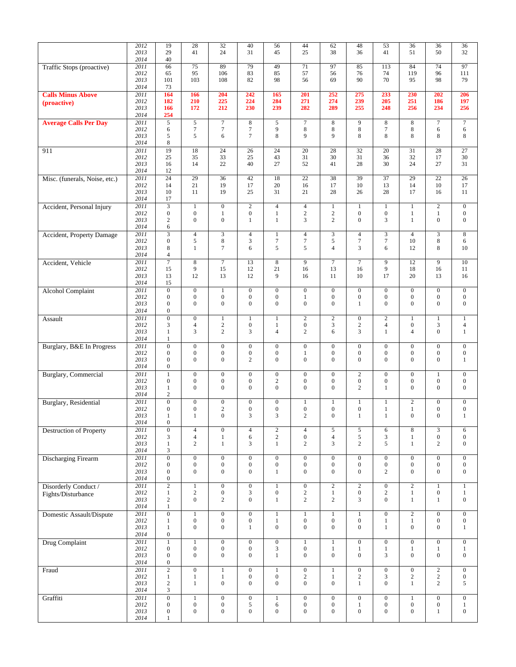|                                  | 2012<br>2013 | 19<br>29                             | 28<br>41                             | $32\,$<br>24                         | 40<br>31                             | 56<br>45                             | 44<br>25                           | 62<br>38                             | 48<br>36                             | 53<br>41                             | 36<br>51                             | 36<br>50                             | 36<br>32                             |
|----------------------------------|--------------|--------------------------------------|--------------------------------------|--------------------------------------|--------------------------------------|--------------------------------------|------------------------------------|--------------------------------------|--------------------------------------|--------------------------------------|--------------------------------------|--------------------------------------|--------------------------------------|
|                                  | 2014         | 40                                   |                                      |                                      |                                      |                                      |                                    |                                      |                                      |                                      |                                      |                                      |                                      |
| Traffic Stops (proactive)        | 2011<br>2012 | 66<br>65                             | 75<br>95                             | 89<br>106                            | 79<br>83                             | 49<br>85                             | 71<br>57                           | 97<br>56                             | 85<br>76                             | 113<br>74                            | 84<br>119                            | 74<br>96                             | 97<br>111                            |
|                                  | 2013         | 101                                  | 103                                  | 108                                  | 82                                   | 98                                   | 56                                 | 69                                   | 90                                   | 70                                   | 95                                   | 98                                   | 79                                   |
|                                  | 2014         | 73                                   |                                      |                                      |                                      |                                      |                                    |                                      |                                      |                                      |                                      |                                      |                                      |
| <b>Calls Minus Above</b>         | 2011<br>2012 | 164<br>182                           | 166<br>210                           | 204<br>225                           | 242<br>224                           | 165<br>284                           | 201<br>271                         | 252<br>274                           | 275<br>239                           | 233<br>205                           | 230<br>251                           | 202<br>186                           | 206<br>197                           |
| (proactive)                      | 2013         | 166                                  | 172                                  | 212                                  | 230                                  | 239                                  | 282                                | 289                                  | 255                                  | 248                                  | 256                                  | 234                                  | 256                                  |
|                                  | 2014         | 254                                  |                                      |                                      |                                      |                                      |                                    |                                      |                                      |                                      |                                      |                                      |                                      |
| <b>Average Calls Per Day</b>     | 2011<br>2012 | $\overline{5}$<br>6                  | $\overline{5}$<br>$\boldsymbol{7}$   | $\overline{7}$<br>$\boldsymbol{7}$   | $\,$ 8 $\,$<br>$\tau$                | 5<br>9                               | $\overline{7}$<br>8                | 8<br>8                               | 9<br>$\,$ 8 $\,$                     | 8<br>$\tau$                          | $\,8\,$<br>8                         | $\tau$<br>6                          | $\overline{7}$<br>6                  |
|                                  | 2013         | 5                                    | 5                                    | 6                                    | $\tau$                               | $\,8\,$                              | 9                                  | 9                                    | 8                                    | 8                                    | 8                                    | 8                                    | 8                                    |
|                                  | 2014         | 8                                    |                                      |                                      |                                      |                                      |                                    |                                      |                                      |                                      |                                      |                                      |                                      |
| 911                              | 2011<br>2012 | 19<br>25                             | 18<br>35                             | 24<br>33                             | 26<br>25                             | 24<br>43                             | 20<br>31                           | 28<br>30                             | 32<br>31                             | 20<br>36                             | 31<br>32                             | 28<br>17                             | 27<br>30                             |
|                                  | 2013         | 16                                   | 14                                   | 22                                   | 40                                   | 27                                   | 52                                 | 41                                   | 28                                   | 30                                   | 24                                   | 27                                   | 31                                   |
|                                  | 2014         | 12                                   |                                      |                                      |                                      |                                      |                                    |                                      |                                      |                                      |                                      |                                      |                                      |
| Misc. (funerals, Noise, etc.)    | 2011<br>2012 | 24<br>14                             | 29<br>21                             | 36<br>19                             | 42<br>17                             | 18<br>20                             | 22<br>16                           | 38<br>17                             | 39<br>10                             | 37<br>13                             | 29<br>14                             | 22<br>10                             | 26<br>17                             |
|                                  | 2013         | 10                                   | 11                                   | 19                                   | 25                                   | 31                                   | 21                                 | 28                                   | 26                                   | 28                                   | 17                                   | 16                                   | 11                                   |
|                                  | 2014         | 17                                   |                                      |                                      |                                      |                                      |                                    |                                      |                                      |                                      |                                      |                                      |                                      |
| Accident, Personal Injury        | 2011<br>2012 | $\overline{3}$<br>$\boldsymbol{0}$   | $\mathbf{1}$<br>$\boldsymbol{0}$     | $\boldsymbol{0}$<br>$\mathbf{1}$     | $\overline{2}$<br>$\boldsymbol{0}$   | $\overline{4}$<br>$\mathbf{1}$       | $\overline{4}$<br>$\sqrt{2}$       | $\mathbf{1}$<br>$\sqrt{2}$           | 1<br>$\boldsymbol{0}$                | $\mathbf{1}$<br>$\boldsymbol{0}$     | $\mathbf{1}$<br>$\mathbf{1}$         | $\overline{2}$<br>$\mathbf{1}$       | $\mathbf{0}$<br>$\boldsymbol{0}$     |
|                                  | 2013         | $\sqrt{2}$                           | $\mathbf{0}$                         | $\boldsymbol{0}$                     | $\mathbf{1}$                         | $\mathbf{1}$                         | 3                                  | $\overline{c}$                       | $\mathbf{0}$                         | 3                                    | $\mathbf{1}$                         | $\boldsymbol{0}$                     | $\boldsymbol{0}$                     |
|                                  | 2014         | 6                                    |                                      |                                      |                                      |                                      |                                    |                                      |                                      |                                      |                                      |                                      |                                      |
| <b>Accident, Property Damage</b> | 2011<br>2012 | $\mathfrak{Z}$<br>$\boldsymbol{0}$   | $\overline{4}$<br>5                  | $\mathfrak{Z}$<br>$\bf 8$            | $\overline{4}$<br>$\mathfrak{Z}$     | $\mathbf{1}$<br>$\boldsymbol{7}$     | $\overline{4}$<br>$\boldsymbol{7}$ | 3<br>5                               | $\overline{4}$<br>$\tau$             | $\mathfrak{Z}$<br>$\tau$             | $\overline{4}$<br>10                 | $\mathfrak{Z}$<br>8                  | 8<br>6                               |
|                                  | 2013         | $\,$ 8 $\,$                          | 1                                    | $\tau$                               | 6                                    | 5                                    | 5                                  | $\overline{4}$                       | 3                                    | 6                                    | 12                                   | 8                                    | 10                                   |
|                                  | 2014         | $\overline{4}$                       |                                      |                                      |                                      |                                      |                                    |                                      |                                      |                                      |                                      |                                      |                                      |
| Accident, Vehicle                | 2011<br>2012 | $\overline{7}$<br>15                 | $\,8\,$<br>9                         | $\overline{7}$<br>15                 | 13<br>12                             | $\overline{8}$<br>21                 | $\overline{9}$<br>16               | $\overline{7}$<br>13                 | $\overline{7}$<br>16                 | $\overline{9}$<br>9                  | 12<br>18                             | $\overline{9}$<br>16                 | 10<br>11                             |
|                                  | 2013         | 13                                   | 12                                   | 13                                   | 12                                   | 9                                    | 16                                 | 11                                   | 10                                   | 17                                   | 20                                   | 13                                   | 16                                   |
|                                  | 2014         | 15                                   |                                      |                                      |                                      |                                      |                                    |                                      |                                      |                                      |                                      |                                      |                                      |
| <b>Alcohol Complaint</b>         | 2011<br>2012 | $\overline{0}$<br>$\boldsymbol{0}$   | $\boldsymbol{0}$<br>$\boldsymbol{0}$ | $\mathbf{1}$<br>$\mathbf{0}$         | $\boldsymbol{0}$<br>$\boldsymbol{0}$ | $\boldsymbol{0}$<br>$\mathbf{0}$     | $\boldsymbol{0}$<br>$\mathbf{1}$   | $\boldsymbol{0}$<br>$\boldsymbol{0}$ | $\boldsymbol{0}$<br>$\boldsymbol{0}$ | $\boldsymbol{0}$<br>$\boldsymbol{0}$ | $\mathbf{0}$<br>$\boldsymbol{0}$     | $\boldsymbol{0}$<br>$\boldsymbol{0}$ | $\boldsymbol{0}$<br>$\overline{0}$   |
|                                  | 2013         | $\mathbf{0}$                         | $\mathbf{0}$                         | $\mathbf{0}$                         | $\mathbf{0}$                         | $\mathbf{0}$                         | $\mathbf{0}$                       | $\overline{0}$                       | $\mathbf{1}$                         | $\mathbf{0}$                         | $\mathbf{0}$                         | $\mathbf{0}$                         | $\mathbf{0}$                         |
|                                  | 2014         | $\boldsymbol{0}$                     |                                      |                                      |                                      |                                      |                                    |                                      |                                      |                                      |                                      |                                      |                                      |
| Assault                          | 2011<br>2012 | $\overline{0}$<br>3                  | $\boldsymbol{0}$<br>$\overline{4}$   | $\mathbf{1}$<br>$\sqrt{2}$           | $\mathbf{1}$<br>$\boldsymbol{0}$     | $\mathbf{1}$<br>$\mathbf{1}$         | $\sqrt{2}$<br>$\boldsymbol{0}$     | $\mathbf{2}$<br>3                    | $\boldsymbol{0}$<br>$\sqrt{2}$       | $\overline{c}$<br>$\sqrt{4}$         | $\mathbf{1}$<br>$\boldsymbol{0}$     | $\mathbf{1}$<br>3                    | $\mathbf{1}$<br>$\overline{4}$       |
|                                  | 2013         | $\mathbf{1}$                         | 3                                    | $\mathbf{2}$                         | 3                                    | $\overline{4}$                       | $\overline{c}$                     | 6                                    | 3                                    | $\mathbf{1}$                         | $\overline{4}$                       | $\mathbf{0}$                         | $\mathbf{1}$                         |
|                                  | 2014         | $\mathbf{1}$                         |                                      |                                      |                                      |                                      |                                    |                                      |                                      |                                      |                                      |                                      |                                      |
| Burglary, B&E In Progress        | 2011<br>2012 | $\boldsymbol{0}$<br>$\boldsymbol{0}$ | $\boldsymbol{0}$<br>$\boldsymbol{0}$ | $\boldsymbol{0}$<br>$\boldsymbol{0}$ | $\boldsymbol{0}$<br>$\boldsymbol{0}$ | $\boldsymbol{0}$<br>$\boldsymbol{0}$ | $\boldsymbol{0}$<br>$\mathbf{1}$   | $\boldsymbol{0}$<br>$\boldsymbol{0}$ | $\boldsymbol{0}$<br>$\boldsymbol{0}$ | $\boldsymbol{0}$<br>$\boldsymbol{0}$ | $\boldsymbol{0}$<br>$\boldsymbol{0}$ | $\boldsymbol{0}$<br>$\boldsymbol{0}$ | $\boldsymbol{0}$<br>$\boldsymbol{0}$ |
|                                  | 2013         | $\boldsymbol{0}$                     | $\mathbf{0}$                         | $\mathbf{0}$                         | $\overline{c}$                       | $\boldsymbol{0}$                     | $\boldsymbol{0}$                   | $\overline{0}$                       | $\boldsymbol{0}$                     | $\mathbf{0}$                         | $\mathbf{0}$                         | $\mathbf{0}$                         | $\mathbf{1}$                         |
|                                  | 2014         | $\boldsymbol{0}$                     |                                      |                                      |                                      |                                      |                                    |                                      |                                      |                                      |                                      |                                      |                                      |
| <b>Burglary</b> , Commercial     | 2011<br>2012 | $\mathbf{1}$<br>$\boldsymbol{0}$     | $\mathbf{0}$<br>$\boldsymbol{0}$     | $\mathbf{0}$<br>$\boldsymbol{0}$     | $\mathbf{0}$<br>$\boldsymbol{0}$     | $\mathbf{0}$<br>$\sqrt{2}$           | $\mathbf{0}$<br>$\boldsymbol{0}$   | $\boldsymbol{0}$<br>$\boldsymbol{0}$ | $\overline{c}$<br>$\boldsymbol{0}$   | $\overline{0}$<br>$\boldsymbol{0}$   | $\boldsymbol{0}$<br>$\boldsymbol{0}$ | $\mathbf{1}$<br>$\boldsymbol{0}$     | $\boldsymbol{0}$<br>$\boldsymbol{0}$ |
|                                  | 2013         | 1                                    | $\Omega$                             | $\boldsymbol{0}$                     | $\mathbf{0}$                         | $\boldsymbol{0}$                     | $\mathbf{0}$                       | $\overline{0}$                       | $\overline{c}$                       | 1                                    | $\mathbf{0}$                         | $\mathbf{0}$                         | $\boldsymbol{0}$                     |
|                                  | 2014         | $\sqrt{2}$<br>$\boldsymbol{0}$       | $\boldsymbol{0}$                     |                                      | $\boldsymbol{0}$                     | $\boldsymbol{0}$                     | $\mathbf{1}$                       |                                      | $\mathbf{1}$                         | $\mathbf{1}$                         | $\overline{2}$                       | $\boldsymbol{0}$                     | $\boldsymbol{0}$                     |
| <b>Burglary</b> , Residential    | 2011<br>2012 | $\boldsymbol{0}$                     | $\mathbf{0}$                         | $\boldsymbol{0}$<br>2                | $\boldsymbol{0}$                     | $\boldsymbol{0}$                     | $\boldsymbol{0}$                   | $\mathbf{1}$<br>$\boldsymbol{0}$     | $\boldsymbol{0}$                     | 1                                    | $\mathbf{1}$                         | $\boldsymbol{0}$                     | $\boldsymbol{0}$                     |
|                                  | 2013         | $\mathbf{1}$                         | $\mathbf{1}$                         | $\mathbf{0}$                         | 3                                    | 3                                    | 2                                  | $\boldsymbol{0}$                     | $\mathbf{1}$                         | $\mathbf{1}$                         | $\overline{0}$                       | $\boldsymbol{0}$                     | $\mathbf{1}$                         |
|                                  | 2014<br>2011 | $\boldsymbol{0}$<br>$\overline{0}$   | $\overline{4}$                       | $\overline{0}$                       | $\overline{4}$                       | $\overline{2}$                       | $\overline{4}$                     | $\overline{5}$                       | $\mathfrak s$                        | 6                                    | $\overline{8}$                       | $\overline{3}$                       | 6                                    |
| <b>Destruction of Property</b>   | 2012         | 3                                    | $\overline{4}$                       | $\mathbf{1}$                         | 6                                    | $\sqrt{2}$                           | $\boldsymbol{0}$                   | $\overline{4}$                       | 5                                    | $\mathfrak{Z}$                       | $\mathbf{1}$                         | $\boldsymbol{0}$                     | $\boldsymbol{0}$                     |
|                                  | 2013         | $\mathbf{1}$                         | $\overline{c}$                       | $\mathbf{1}$                         | 3                                    | $\mathbf{1}$                         | 2                                  | 3                                    | $\mathbf{2}$                         | 5                                    | $\mathbf{1}$                         | $\overline{c}$                       | $\boldsymbol{0}$                     |
| <b>Discharging Firearm</b>       | 2014<br>2011 | $\mathfrak{Z}$<br>$\overline{0}$     | $\overline{0}$                       | $\overline{0}$                       | $\overline{0}$                       | $\overline{0}$                       | $\overline{0}$                     | $\overline{0}$                       | $\overline{0}$                       | $\overline{0}$                       | $\overline{0}$                       | $\boldsymbol{0}$                     | $\overline{0}$                       |
|                                  | 2012         | $\boldsymbol{0}$                     | $\boldsymbol{0}$                     | $\boldsymbol{0}$                     | $\boldsymbol{0}$                     | $\boldsymbol{0}$                     | $\boldsymbol{0}$                   | $\boldsymbol{0}$                     | $\boldsymbol{0}$                     | $\boldsymbol{0}$                     | $\boldsymbol{0}$                     | $\boldsymbol{0}$                     | $\boldsymbol{0}$                     |
|                                  | 2013         | $\boldsymbol{0}$                     | $\boldsymbol{0}$                     | $\boldsymbol{0}$                     | $\mathbf{0}$                         | $\mathbf{1}$                         | $\mathbf{0}$                       | $\boldsymbol{0}$                     | $\boldsymbol{0}$                     | $\overline{c}$                       | $\mathbf{0}$                         | $\boldsymbol{0}$                     | $\mathbf{0}$                         |
| Disorderly Conduct /             | 2014<br>2011 | $\boldsymbol{0}$<br>$\overline{2}$   | $\mathbf{1}$                         | $\overline{0}$                       | $\overline{0}$                       | $\,1$                                | $\overline{0}$                     | $\overline{2}$                       | $\overline{2}$                       | $\overline{0}$                       | $\overline{2}$                       | $\mathbf{1}$                         | $\mathbf{1}$                         |
| Fights/Disturbance               | 2012         | $\mathbf{1}$                         | $\sqrt{2}$                           | $\boldsymbol{0}$                     | 3                                    | $\boldsymbol{0}$                     | $\boldsymbol{2}$                   | $\mathbf{1}$                         | $\boldsymbol{0}$                     | $\sqrt{2}$                           | $\,1$                                | $\boldsymbol{0}$                     | $\mathbf{1}$                         |
|                                  | 2013         | $\overline{c}$                       | $\boldsymbol{0}$                     | 2                                    | $\boldsymbol{0}$                     | $\mathbf{1}$                         | $\overline{c}$                     | $\overline{c}$                       | 3                                    | $\boldsymbol{0}$                     | $\mathbf{1}$                         | $\mathbf{1}$                         | $\boldsymbol{0}$                     |
| Domestic Assault/Dispute         | 2014<br>2011 | $\mathbf{1}$<br>$\overline{0}$       | $\mathbf{1}$                         | $\overline{0}$                       | $\overline{0}$                       | $\mathbf{1}$                         | $\mathbf{1}$                       | $\mathbf{1}$                         | $\mathbf{1}$                         | $\overline{0}$                       | $\overline{2}$                       | $\overline{0}$                       | $\overline{0}$                       |
|                                  | 2012         | $\mathbf{1}$                         | $\boldsymbol{0}$                     | $\boldsymbol{0}$                     | $\boldsymbol{0}$                     | $\mathbf{1}$                         | $\boldsymbol{0}$                   | $\boldsymbol{0}$                     | $\boldsymbol{0}$                     | $\mathbf{1}$                         | $\mathbf{1}$                         | $\boldsymbol{0}$                     | $\boldsymbol{0}$                     |
|                                  | 2013<br>2014 | $\mathbf{1}$<br>$\boldsymbol{0}$     | $\mathbf{0}$                         | $\boldsymbol{0}$                     | $\mathbf{1}$                         | $\boldsymbol{0}$                     | $\mathbf{0}$                       | $\boldsymbol{0}$                     | $\boldsymbol{0}$                     | $\mathbf{1}$                         | $\mathbf{0}$                         | $\boldsymbol{0}$                     | $\mathbf{1}$                         |
| Drug Complaint                   | 2011         | $\,1$                                | $\mathbf{1}$                         | $\overline{0}$                       | $\overline{0}$                       | $\overline{0}$                       | $\mathbf{1}$                       | $\mathbf{1}$                         | $\boldsymbol{0}$                     | $\overline{0}$                       | $\overline{0}$                       | $\boldsymbol{0}$                     | $\boldsymbol{0}$                     |
|                                  | 2012         | $\boldsymbol{0}$                     | $\boldsymbol{0}$                     | $\boldsymbol{0}$                     | $\boldsymbol{0}$                     | $\mathfrak{Z}$                       | $\boldsymbol{0}$                   | $\mathbf{1}$                         | $\mathbf{1}$                         | $\mathbf{1}$                         | $\,1$                                | $\mathbf{1}$                         | $\mathbf{1}$                         |
|                                  | 2013<br>2014 | $\boldsymbol{0}$<br>$\boldsymbol{0}$ | $\boldsymbol{0}$                     | $\mathbf{0}$                         | $\boldsymbol{0}$                     | $\mathbf{1}$                         | $\boldsymbol{0}$                   | $\boldsymbol{0}$                     | $\boldsymbol{0}$                     | 3                                    | $\mathbf{0}$                         | $\boldsymbol{0}$                     | $\boldsymbol{0}$                     |
| Fraud                            | 2011         | $\overline{2}$                       | $\boldsymbol{0}$                     | $\mathbf{1}$                         | $\boldsymbol{0}$                     | $\mathbf{1}$                         | $\boldsymbol{0}$                   | $\mathbf{1}$                         | $\boldsymbol{0}$                     | $\boldsymbol{0}$                     | $\boldsymbol{0}$                     | $\overline{2}$                       | $\boldsymbol{0}$                     |
|                                  | 2012         | $\mathbf{1}$                         | $\mathbf{1}$                         | $\mathbf{1}$                         | $\boldsymbol{0}$                     | $\boldsymbol{0}$                     | $\overline{c}$                     | $\mathbf{1}$                         | $\sqrt{2}$                           | 3                                    | $\overline{c}$                       | $\sqrt{2}$                           | $\boldsymbol{0}$                     |
|                                  | 2013<br>2014 | $\sqrt{2}$<br>$\mathfrak{Z}$         | $\mathbf{1}$                         | $\boldsymbol{0}$                     | $\boldsymbol{0}$                     | $\boldsymbol{0}$                     | $\boldsymbol{0}$                   | $\boldsymbol{0}$                     | $\mathbf{1}$                         | $\boldsymbol{0}$                     | $\mathbf{1}$                         | $\overline{c}$                       | 5                                    |
| Graffiti                         | 2011         | $\boldsymbol{0}$                     | $\mathbf{1}$                         | $\boldsymbol{0}$                     | $\boldsymbol{0}$                     | $\mathbf{1}$                         | $\boldsymbol{0}$                   | $\boldsymbol{0}$                     | $\boldsymbol{0}$                     | $\boldsymbol{0}$                     | $\mathbf{1}$                         | $\boldsymbol{0}$                     | $\boldsymbol{0}$                     |
|                                  | 2012         | $\boldsymbol{0}$                     | $\boldsymbol{0}$                     | $\boldsymbol{0}$                     | 5                                    | 6                                    | $\boldsymbol{0}$                   | $\boldsymbol{0}$                     | $\mathbf{1}$                         | $\boldsymbol{0}$                     | $\boldsymbol{0}$                     | $\boldsymbol{0}$                     | $\mathbf{1}$                         |
|                                  | 2013<br>2014 | $\boldsymbol{0}$<br>$\mathbf{1}$     | $\boldsymbol{0}$                     | $\boldsymbol{0}$                     | $\boldsymbol{0}$                     | $\boldsymbol{0}$                     | $\boldsymbol{0}$                   | $\boldsymbol{0}$                     | $\boldsymbol{0}$                     | $\boldsymbol{0}$                     | $\boldsymbol{0}$                     | $\mathbf{1}$                         | $\boldsymbol{0}$                     |
|                                  |              |                                      |                                      |                                      |                                      |                                      |                                    |                                      |                                      |                                      |                                      |                                      |                                      |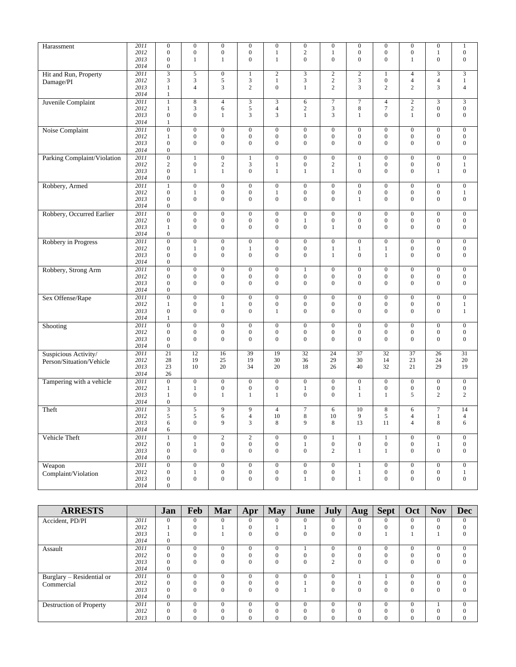| Harassment                  | 2011 | $\boldsymbol{0}$ | $\boldsymbol{0}$ | $\overline{0}$   | $\overline{0}$   | $\overline{0}$   | $\overline{0}$   | $\boldsymbol{0}$ | $\overline{0}$   | $\boldsymbol{0}$ | $\overline{0}$   | $\boldsymbol{0}$      | $\mathbf{1}$     |
|-----------------------------|------|------------------|------------------|------------------|------------------|------------------|------------------|------------------|------------------|------------------|------------------|-----------------------|------------------|
|                             | 2012 | $\boldsymbol{0}$ | $\boldsymbol{0}$ | $\boldsymbol{0}$ | $\boldsymbol{0}$ | $\mathbf{1}$     | $\mathbf{2}$     | 1                | $\boldsymbol{0}$ | $\boldsymbol{0}$ | 0                | 1                     | $\boldsymbol{0}$ |
|                             | 2013 | $\boldsymbol{0}$ | $\mathbf{1}$     | $\mathbf{1}$     | $\overline{0}$   | $\mathbf{1}$     | $\overline{0}$   | $\mathbf{0}$     | $\boldsymbol{0}$ | $\overline{0}$   | $\mathbf{1}$     | $\boldsymbol{0}$      | $\boldsymbol{0}$ |
|                             | 2014 | $\boldsymbol{0}$ |                  |                  |                  |                  |                  |                  |                  |                  |                  |                       |                  |
| Hit and Run, Property       | 2011 |                  | 5                | $\boldsymbol{0}$ | $\mathbf{1}$     | $\overline{2}$   | $\overline{3}$   | $\overline{2}$   | $\overline{2}$   | $\mathbf{1}$     | $\overline{4}$   | 3                     | $\overline{3}$   |
| Damage/PI                   | 2012 | 3                | 3                | 5                | 3                | $\,1$            | 3                | $\mathbf{2}$     | 3                | $\boldsymbol{0}$ | 4                | $\overline{4}$        | $\mathbf{1}$     |
|                             | 2013 | $\mathbf{1}$     | $\overline{4}$   | 3                | $\overline{c}$   | $\boldsymbol{0}$ | 1                | $\overline{c}$   | 3                | $\overline{c}$   | $\overline{c}$   | 3                     | $\overline{4}$   |
|                             | 2014 | 1                |                  |                  |                  |                  |                  |                  |                  |                  |                  |                       |                  |
| Juvenile Complaint          | 2011 | $\mathbf{1}$     | $\,8\,$          | $\overline{4}$   | 3                | $\mathfrak{Z}$   | 6                | $\overline{7}$   | $\overline{7}$   | $\overline{4}$   | $\overline{2}$   | 3                     | 3                |
|                             | 2012 | $\mathbf{1}$     | 3                | 6                | 5                | $\overline{4}$   | $\overline{c}$   | 3                | 8                | $\tau$           | $\sqrt{2}$       | $\boldsymbol{0}$      | $\boldsymbol{0}$ |
|                             | 2013 | $\boldsymbol{0}$ | $\mathbf{0}$     | 1                | 3                | 3                | $\mathbf{1}$     | 3                | $\mathbf{1}$     | $\overline{0}$   | $\mathbf{1}$     | $\boldsymbol{0}$      | $\boldsymbol{0}$ |
|                             | 2014 | 1                |                  |                  |                  |                  |                  |                  |                  |                  |                  |                       |                  |
|                             | 2011 | $\overline{0}$   | $\boldsymbol{0}$ | $\boldsymbol{0}$ | $\overline{0}$   | $\mathbf{0}$     | $\boldsymbol{0}$ | $\boldsymbol{0}$ | $\mathbf{0}$     | $\boldsymbol{0}$ | $\mathbf{0}$     | $\overline{0}$        | $\mathbf{0}$     |
| Noise Complaint             | 2012 | $\mathbf{1}$     | $\boldsymbol{0}$ | $\boldsymbol{0}$ | $\boldsymbol{0}$ | $\boldsymbol{0}$ | $\boldsymbol{0}$ | $\boldsymbol{0}$ | $\boldsymbol{0}$ | $\boldsymbol{0}$ | $\boldsymbol{0}$ | $\boldsymbol{0}$      | $\boldsymbol{0}$ |
|                             | 2013 | $\boldsymbol{0}$ | $\mathbf{0}$     | $\overline{0}$   | $\boldsymbol{0}$ | $\boldsymbol{0}$ | $\overline{0}$   | $\boldsymbol{0}$ | $\boldsymbol{0}$ | $\overline{0}$   | $\mathbf{0}$     | $\boldsymbol{0}$      | $\boldsymbol{0}$ |
|                             | 2014 | $\boldsymbol{0}$ |                  |                  |                  |                  |                  |                  |                  |                  |                  |                       |                  |
|                             |      |                  |                  |                  |                  |                  |                  |                  |                  |                  |                  |                       |                  |
| Parking Complaint/Violation | 2011 | $\overline{0}$   | $\mathbf{1}$     | $\boldsymbol{0}$ | $\mathbf{1}$     | $\boldsymbol{0}$ | $\boldsymbol{0}$ | $\boldsymbol{0}$ | $\mathbf{0}$     | $\boldsymbol{0}$ | $\boldsymbol{0}$ | $\overline{0}$        | $\boldsymbol{0}$ |
|                             | 2012 | $\sqrt{2}$       | $\boldsymbol{0}$ | $\overline{c}$   | 3                | $\mathbf{1}$     | $\boldsymbol{0}$ | $\boldsymbol{2}$ | $\mathbf{1}$     | $\boldsymbol{0}$ | $\boldsymbol{0}$ | $\boldsymbol{0}$      | $\mathbf{1}$     |
|                             | 2013 | $\boldsymbol{0}$ | $\mathbf{1}$     | $\mathbf{1}$     | $\boldsymbol{0}$ | $\mathbf{1}$     | $\mathbf{1}$     | $\mathbf{1}$     | $\boldsymbol{0}$ | $\overline{0}$   | $\boldsymbol{0}$ | 1                     | $\boldsymbol{0}$ |
|                             | 2014 | $\boldsymbol{0}$ |                  |                  |                  |                  |                  |                  |                  |                  |                  |                       |                  |
| Robbery, Armed              | 2011 | $\mathbf{1}$     | $\boldsymbol{0}$ | $\boldsymbol{0}$ | $\boldsymbol{0}$ | $\boldsymbol{0}$ | $\boldsymbol{0}$ | $\boldsymbol{0}$ | $\boldsymbol{0}$ | $\boldsymbol{0}$ | $\boldsymbol{0}$ | $\overline{0}$        | $\boldsymbol{0}$ |
|                             | 2012 | $\boldsymbol{0}$ | $\mathbf{1}$     | $\boldsymbol{0}$ | $\boldsymbol{0}$ | $\mathbf{1}$     | $\boldsymbol{0}$ | $\boldsymbol{0}$ | $\boldsymbol{0}$ | $\boldsymbol{0}$ | $\boldsymbol{0}$ | $\boldsymbol{0}$      | $\mathbf{1}$     |
|                             | 2013 | $\boldsymbol{0}$ | $\mathbf{0}$     | $\boldsymbol{0}$ | $\boldsymbol{0}$ | $\boldsymbol{0}$ | $\boldsymbol{0}$ | $\boldsymbol{0}$ | $\mathbf{1}$     | $\overline{0}$   | $\mathbf{0}$     | $\boldsymbol{0}$      | $\boldsymbol{0}$ |
|                             | 2014 | $\boldsymbol{0}$ |                  |                  |                  |                  |                  |                  |                  |                  |                  |                       |                  |
| Robbery, Occurred Earlier   | 2011 | $\boldsymbol{0}$ | $\boldsymbol{0}$ | $\boldsymbol{0}$ | $\boldsymbol{0}$ | $\boldsymbol{0}$ | $\boldsymbol{0}$ | $\boldsymbol{0}$ | $\mathbf{0}$     | $\boldsymbol{0}$ | $\mathbf{0}$     | $\overline{0}$        | $\boldsymbol{0}$ |
|                             | 2012 | $\boldsymbol{0}$ | $\boldsymbol{0}$ | $\boldsymbol{0}$ | $\boldsymbol{0}$ | $\boldsymbol{0}$ | 1                | $\boldsymbol{0}$ | $\boldsymbol{0}$ | $\boldsymbol{0}$ | $\boldsymbol{0}$ | $\boldsymbol{0}$      | $\boldsymbol{0}$ |
|                             | 2013 | $\mathbf{1}$     | $\boldsymbol{0}$ | $\boldsymbol{0}$ | $\boldsymbol{0}$ | $\boldsymbol{0}$ | $\boldsymbol{0}$ | $\mathbf{1}$     | $\boldsymbol{0}$ | $\overline{0}$   | $\mathbf{0}$     | $\boldsymbol{0}$      | $\mathbf{0}$     |
|                             | 2014 | $\boldsymbol{0}$ |                  |                  |                  |                  |                  |                  |                  |                  |                  |                       |                  |
| Robbery in Progress         | 2011 | $\overline{0}$   | $\boldsymbol{0}$ | $\boldsymbol{0}$ | $\overline{0}$   | $\boldsymbol{0}$ | $\boldsymbol{0}$ | $\overline{0}$   | $\boldsymbol{0}$ | $\overline{0}$   | $\mathbf{0}$     | $\overline{0}$        | $\boldsymbol{0}$ |
|                             | 2012 | $\boldsymbol{0}$ | $\mathbf{1}$     | $\boldsymbol{0}$ | 1                | $\boldsymbol{0}$ | $\boldsymbol{0}$ | $\mathbf{1}$     | $\mathbf{1}$     | $\mathbf{1}$     | $\boldsymbol{0}$ | $\boldsymbol{0}$      | $\boldsymbol{0}$ |
|                             | 2013 | $\boldsymbol{0}$ | $\mathbf{0}$     | $\boldsymbol{0}$ | $\boldsymbol{0}$ | $\boldsymbol{0}$ | $\boldsymbol{0}$ | $\mathbf{1}$     | $\boldsymbol{0}$ | $\mathbf{1}$     | $\mathbf{0}$     | $\boldsymbol{0}$      | $\boldsymbol{0}$ |
|                             | 2014 | $\boldsymbol{0}$ |                  |                  |                  |                  |                  |                  |                  |                  |                  |                       |                  |
| Robbery, Strong Arm         | 2011 | $\overline{0}$   | $\boldsymbol{0}$ | $\boldsymbol{0}$ | $\boldsymbol{0}$ | $\boldsymbol{0}$ | $\mathbf{1}$     | $\boldsymbol{0}$ | $\boldsymbol{0}$ | $\boldsymbol{0}$ | $\mathbf{0}$     | $\boldsymbol{0}$      | $\boldsymbol{0}$ |
|                             | 2012 | $\boldsymbol{0}$ | $\boldsymbol{0}$ | $\boldsymbol{0}$ | $\boldsymbol{0}$ | $\boldsymbol{0}$ | $\boldsymbol{0}$ | $\boldsymbol{0}$ | $\boldsymbol{0}$ | $\boldsymbol{0}$ | $\boldsymbol{0}$ | $\boldsymbol{0}$      | $\boldsymbol{0}$ |
|                             | 2013 | $\boldsymbol{0}$ | $\mathbf{0}$     | $\overline{0}$   | $\mathbf{0}$     | $\boldsymbol{0}$ | $\overline{0}$   | $\mathbf{0}$     | $\boldsymbol{0}$ | $\overline{0}$   | $\mathbf{0}$     | $\boldsymbol{0}$      | $\boldsymbol{0}$ |
|                             | 2014 | $\boldsymbol{0}$ |                  |                  |                  |                  |                  |                  |                  |                  |                  |                       |                  |
| Sex Offense/Rape            | 2011 | $\overline{0}$   | $\boldsymbol{0}$ | $\boldsymbol{0}$ | $\overline{0}$   | $\boldsymbol{0}$ | $\boldsymbol{0}$ | $\overline{0}$   | $\mathbf{0}$     | $\boldsymbol{0}$ | $\mathbf{0}$     | $\overline{0}$        | $\boldsymbol{0}$ |
|                             | 2012 | $\mathbf{1}$     | $\boldsymbol{0}$ | $\mathbf{1}$     | $\boldsymbol{0}$ | $\boldsymbol{0}$ | $\boldsymbol{0}$ | $\boldsymbol{0}$ | $\boldsymbol{0}$ | $\boldsymbol{0}$ | $\boldsymbol{0}$ | $\boldsymbol{0}$      | $\mathbf{1}$     |
|                             | 2013 | $\boldsymbol{0}$ | $\mathbf{0}$     | $\overline{0}$   | $\mathbf{0}$     | $\mathbf{1}$     | $\mathbf{0}$     | $\overline{0}$   | $\mathbf{0}$     | $\overline{0}$   | $\mathbf{0}$     | $\mathbf{0}$          | $\mathbf{1}$     |
|                             | 2014 | $\mathbf{1}$     |                  |                  |                  |                  |                  |                  |                  |                  |                  |                       |                  |
| Shooting                    | 2011 | $\boldsymbol{0}$ | $\boldsymbol{0}$ | $\boldsymbol{0}$ | $\boldsymbol{0}$ | $\boldsymbol{0}$ | $\boldsymbol{0}$ | $\boldsymbol{0}$ | $\boldsymbol{0}$ | $\boldsymbol{0}$ | $\boldsymbol{0}$ | $\boldsymbol{0}$      | $\boldsymbol{0}$ |
|                             | 2012 | $\boldsymbol{0}$ | $\boldsymbol{0}$ | $\boldsymbol{0}$ | $\boldsymbol{0}$ | $\boldsymbol{0}$ | $\boldsymbol{0}$ | $\boldsymbol{0}$ | $\boldsymbol{0}$ | $\boldsymbol{0}$ | $\boldsymbol{0}$ | $\boldsymbol{0}$      | $\boldsymbol{0}$ |
|                             | 2013 | $\boldsymbol{0}$ | $\mathbf{0}$     | $\overline{0}$   | $\mathbf{0}$     | $\overline{0}$   | $\overline{0}$   | $\mathbf{0}$     | $\overline{0}$   | $\overline{0}$   | $\mathbf{0}$     | $\mathbf{0}$          | $\mathbf{0}$     |
|                             | 2014 | $\boldsymbol{0}$ |                  |                  |                  |                  |                  |                  |                  |                  |                  |                       |                  |
| Suspicious Activity/        | 2011 | 21               | 12               | 16               | 39               | 19               | 32               | 24               | 37               | 32               | 37               | 26                    | 31               |
|                             | 2012 | 28               | 19               | 25               | 19               | 30               | 36               | 29               | 30               | 14               | 23               | 24                    | 20               |
| Person/Situation/Vehicle    | 2013 | 23               | 10               | 20               | 34               | 20               | 18               | 26               | 40               | 32               | 21               | 29                    | 19               |
|                             | 2014 | 26               |                  |                  |                  |                  |                  |                  |                  |                  |                  |                       |                  |
| Tampering with a vehicle    | 2011 | $\boldsymbol{0}$ | $\boldsymbol{0}$ | $\boldsymbol{0}$ | $\boldsymbol{0}$ | $\boldsymbol{0}$ | $\boldsymbol{0}$ | $\boldsymbol{0}$ | $\boldsymbol{0}$ | $\boldsymbol{0}$ | $\boldsymbol{0}$ | $\boldsymbol{0}$      | $\boldsymbol{0}$ |
|                             | 2012 | 1                | $\mathbf{1}$     | $\boldsymbol{0}$ | $\boldsymbol{0}$ | $\boldsymbol{0}$ | 1                | $\boldsymbol{0}$ | $\mathbf{1}$     | $\boldsymbol{0}$ | $\boldsymbol{0}$ | $\boldsymbol{0}$      | $\boldsymbol{0}$ |
|                             | 2013 | 1                | $\boldsymbol{0}$ | $\mathbf{1}$     | 1                | 1                | $\boldsymbol{0}$ | $\boldsymbol{0}$ | $\mathbf{1}$     | $\mathbf{1}$     | 5                | 2                     | $\overline{c}$   |
|                             | 2014 | $\boldsymbol{0}$ |                  |                  |                  |                  |                  |                  |                  |                  |                  |                       |                  |
|                             | 2011 | 3                |                  | 9                | 9                | $\overline{4}$   | $\tau$           |                  | 10               |                  |                  |                       | 14               |
| Theft                       | 2012 | 5                | 5<br>5           | 6                | $\overline{4}$   | 10               | 8                | 6<br>10          | 9                | 8<br>5           | 6<br>4           | $\boldsymbol{7}$<br>1 | $\overline{4}$   |
|                             | 2013 |                  | $\boldsymbol{0}$ | 9                | 3                | $\,8\,$          | 9                | 8                | 13               | 11               | $\overline{4}$   | $\,$ 8 $\,$           | 6                |
|                             | 2014 | 6<br>6           |                  |                  |                  |                  |                  |                  |                  |                  |                  |                       |                  |
|                             |      |                  |                  |                  |                  |                  |                  |                  |                  |                  |                  |                       |                  |
| Vehicle Theft               | 2011 | $\overline{1}$   | $\boldsymbol{0}$ | $\overline{2}$   | $\overline{2}$   | $\overline{0}$   | $\boldsymbol{0}$ | $\mathbf{1}$     | $\overline{1}$   | $\overline{1}$   | $\overline{0}$   | $\overline{0}$        | $\overline{0}$   |
|                             | 2012 | $\boldsymbol{0}$ | $\mathbf{1}$     | $\boldsymbol{0}$ | $\boldsymbol{0}$ | $\boldsymbol{0}$ | $\mathbf{1}$     | $\boldsymbol{0}$ | $\boldsymbol{0}$ | $\boldsymbol{0}$ | $\overline{0}$   | $\mathbf{1}$          | $\boldsymbol{0}$ |
|                             | 2013 | $\boldsymbol{0}$ | $\boldsymbol{0}$ | $\mathbf{0}$     | $\boldsymbol{0}$ | $\boldsymbol{0}$ | $\boldsymbol{0}$ | $\overline{c}$   | $\mathbf{1}$     | $\mathbf{1}$     | $\mathbf{0}$     | $\boldsymbol{0}$      | $\mathbf{0}$     |
|                             | 2014 | $\boldsymbol{0}$ |                  |                  |                  |                  |                  |                  |                  |                  |                  |                       |                  |
| Weapon                      | 2011 | $\overline{0}$   | $\boldsymbol{0}$ | $\overline{0}$   | $\overline{0}$   | $\boldsymbol{0}$ | $\boldsymbol{0}$ | $\overline{0}$   | $\mathbf 1$      | $\boldsymbol{0}$ | $\mathbf{0}$     | $\overline{0}$        | $\overline{0}$   |
| Complaint/Violation         | 2012 | $\boldsymbol{0}$ | $\mathbf{1}$     | $\boldsymbol{0}$ | $\boldsymbol{0}$ | $\boldsymbol{0}$ | $\boldsymbol{0}$ | $\boldsymbol{0}$ | $\mathbf{1}$     | $\boldsymbol{0}$ | $\boldsymbol{0}$ | $\boldsymbol{0}$      | $\mathbf{1}$     |
|                             | 2013 | $\boldsymbol{0}$ | $\boldsymbol{0}$ | $\boldsymbol{0}$ | $\boldsymbol{0}$ | $\boldsymbol{0}$ | $\mathbf{1}$     | $\boldsymbol{0}$ | $\mathbf{1}$     | $\boldsymbol{0}$ | $\boldsymbol{0}$ | $\boldsymbol{0}$      | $\mathbf{0}$     |
|                             | 2014 | $\boldsymbol{0}$ |                  |                  |                  |                  |                  |                  |                  |                  |                  |                       |                  |

| <b>ARRESTS</b>            |      | Jan          | Feb      | Mar      | Apr      | May          | June     | July           | Aug      | <b>Sept</b> | Oct      | <b>Nov</b> | <b>Dec</b>   |
|---------------------------|------|--------------|----------|----------|----------|--------------|----------|----------------|----------|-------------|----------|------------|--------------|
| Accident, PD/PI           | 2011 | $\mathbf{0}$ | $\Omega$ | $\Omega$ | 0        | $\Omega$     | $\Omega$ | 0              | $\Omega$ | 0           | $\Omega$ | $\Omega$   | $\mathbf{0}$ |
|                           | 2012 |              | $\theta$ |          | 0        |              |          | 0              | $\Omega$ | 0           | $\Omega$ | $\Omega$   | $\Omega$     |
|                           | 2013 |              | $\Omega$ |          | 0        | $\Omega$     | $\Omega$ | $\Omega$       | $\Omega$ |             |          |            | $\Omega$     |
|                           | 2014 | $\mathbf{0}$ |          |          |          |              |          |                |          |             |          |            |              |
| Assault                   | 2011 | $\theta$     | $\Omega$ | $\Omega$ | $\Omega$ | $\mathbf{0}$ |          | $\overline{0}$ | $\Omega$ | 0           | $\Omega$ | $\Omega$   | $\mathbf{0}$ |
|                           | 2012 | $\Omega$     | $\Omega$ | $\Omega$ | $\theta$ | $\Omega$     | $\Omega$ | 0              | $\Omega$ |             | $\Omega$ |            | $\Omega$     |
|                           | 2013 | $\Omega$     | $\Omega$ | $\Omega$ | 0        | $\Omega$     | $\Omega$ | $\mathcal{L}$  | $\Omega$ | 0           | $\Omega$ | $\Omega$   | $\Omega$     |
|                           | 2014 | $\mathbf{0}$ |          |          |          |              |          |                |          |             |          |            |              |
| Burglary - Residential or | 2011 | $\Omega$     | $\Omega$ | $\Omega$ | $\Omega$ | $\mathbf{0}$ | $\Omega$ | 0              |          |             | $\Omega$ | $\Omega$   | $\mathbf{0}$ |
| Commercial                | 2012 | $\Omega$     | $\theta$ | $\Omega$ | $\Omega$ | $\Omega$     |          | 0              | $\Omega$ | 0           | $\Omega$ |            | $\Omega$     |
|                           | 2013 | $\Omega$     | $\Omega$ | $\Omega$ | 0        | $\mathbf{0}$ |          | $\Omega$       | $\Omega$ | 0           | $\Omega$ | $\Omega$   | $\Omega$     |
|                           | 2014 | $\mathbf{0}$ |          |          |          |              |          |                |          |             |          |            |              |
| Destruction of Property   | 2011 | $\Omega$     | $\Omega$ | $\Omega$ | 0        | $\Omega$     | $\Omega$ | 0              | $\Omega$ | 0           | $\Omega$ |            | $\Omega$     |
|                           | 2012 | $\Omega$     | $\Omega$ | $\Omega$ | $\theta$ | $\Omega$     | $\Omega$ | $\Omega$       | $\Omega$ |             | $\Omega$ |            |              |
|                           | 2013 | $\Omega$     | $\Omega$ | $\Omega$ | 0        | $\Omega$     | $\Omega$ | 0              | $\Omega$ |             | $\Omega$ | $\Omega$   | $\Omega$     |